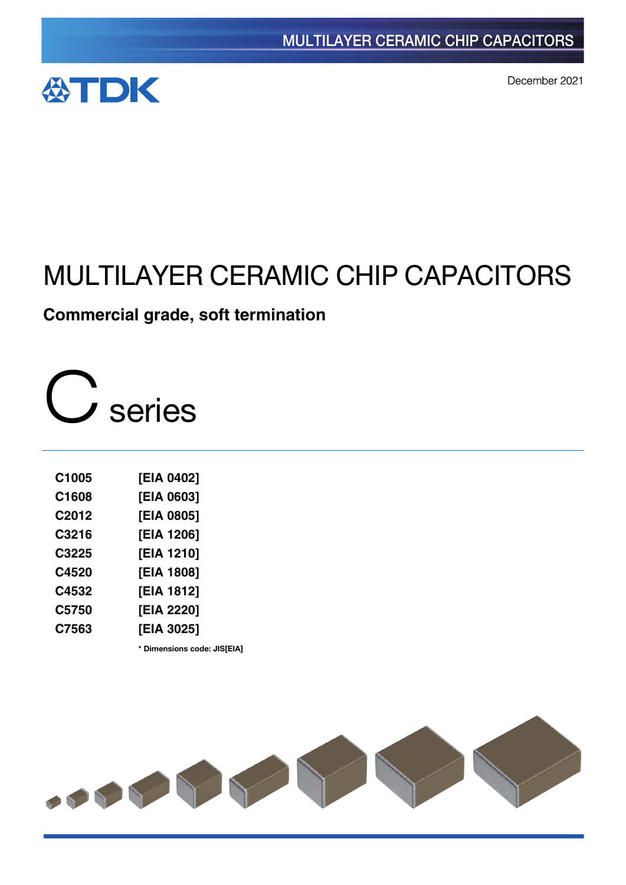

December 2021

# MULTILAYER CERAMIC CHIP CAPACITORS

# **Commercial grade, soft termination**

C series

| C1005             | [EIA 0402] |
|-------------------|------------|
| C1608             | [EIA 0603] |
| C <sub>2012</sub> | [EIA 0805] |
| C3216             | [EIA 1206] |
| C3225             | [EIA 1210] |
| C4520             | [EIA 1808] |
| C4532             | [EIA 1812] |
| C5750             | [EIA 2220] |
| C7563             | [EIA 3025] |

**\*** Dimensions code: JIS[EIA]

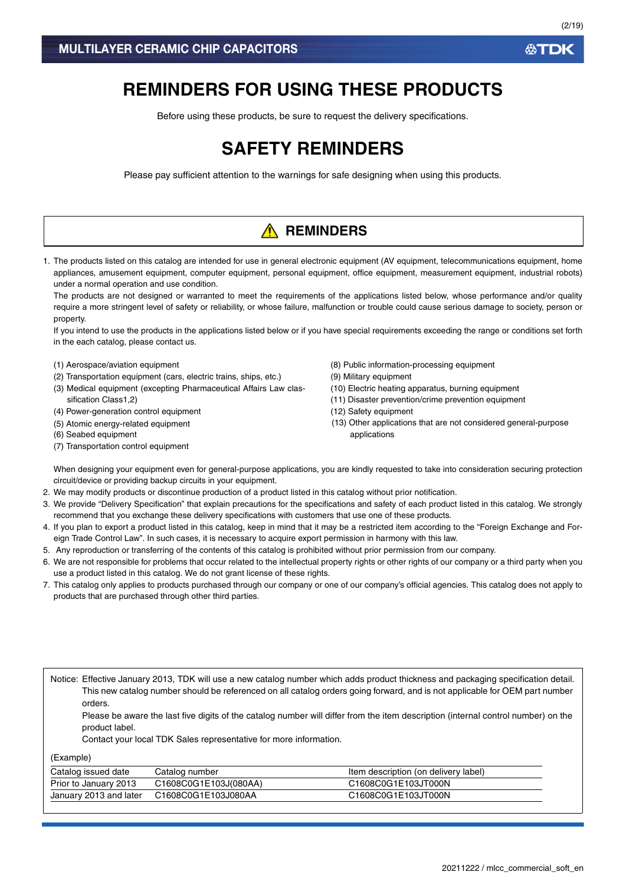# **REMINDERS FOR USING THESE PRODUCTS**

Before using these products, be sure to request the delivery specifications.

# **SAFETY REMINDERS**

Please pay sufficient attention to the warnings for safe designing when using this products.

# **A** REMINDERS

1. The products listed on this catalog are intended for use in general electronic equipment (AV equipment, telecommunications equipment, home appliances, amusement equipment, computer equipment, personal equipment, office equipment, measurement equipment, industrial robots) under a normal operation and use condition.

The products are not designed or warranted to meet the requirements of the applications listed below, whose performance and/or quality require a more stringent level of safety or reliability, or whose failure, malfunction or trouble could cause serious damage to society, person or property.

If you intend to use the products in the applications listed below or if you have special requirements exceeding the range or conditions set forth in the each catalog, please contact us.

- (1) Aerospace/aviation equipment
- (2) Transportation equipment (cars, electric trains, ships, etc.)
- (3) Medical equipment (excepting Pharmaceutical Affairs Law classification Class1,2)
- (4) Power-generation control equipment
- (5) Atomic energy-related equipment
- (6) Seabed equipment
- (7) Transportation control equipment
- (8) Public information-processing equipment
- (9) Military equipment
- (10) Electric heating apparatus, burning equipment
- (11) Disaster prevention/crime prevention equipment
- (12) Safety equipment
- (13) Other applications that are not considered general-purpose applications

When designing your equipment even for general-purpose applications, you are kindly requested to take into consideration securing protection circuit/device or providing backup circuits in your equipment.

- 2. We may modify products or discontinue production of a product listed in this catalog without prior notification.
- 3. We provide "Delivery Specification" that explain precautions for the specifications and safety of each product listed in this catalog. We strongly recommend that you exchange these delivery specifications with customers that use one of these products.
- 4. If you plan to export a product listed in this catalog, keep in mind that it may be a restricted item according to the "Foreign Exchange and Foreign Trade Control Law". In such cases, it is necessary to acquire export permission in harmony with this law.
- 5. Any reproduction or transferring of the contents of this catalog is prohibited without prior permission from our company.
- 6. We are not responsible for problems that occur related to the intellectual property rights or other rights of our company or a third party when you use a product listed in this catalog. We do not grant license of these rights.
- 7. This catalog only applies to products purchased through our company or one of our company's official agencies. This catalog does not apply to products that are purchased through other third parties.

Notice: Effective January 2013, TDK will use a new catalog number which adds product thickness and packaging specification detail. This new catalog number should be referenced on all catalog orders going forward, and is not applicable for OEM part number orders.

Please be aware the last five digits of the catalog number will differ from the item description (internal control number) on the product label.

Contact your local TDK Sales representative for more information.

(Example)

| Catalog issued date    | Catalog number        | Item description (on delivery label) |
|------------------------|-----------------------|--------------------------------------|
| Prior to January 2013  | C1608C0G1E103J(080AA) | C1608C0G1E103JT000N                  |
| January 2013 and later | C1608C0G1E103J080AA   | C1608C0G1E103JT000N                  |

**ATDK**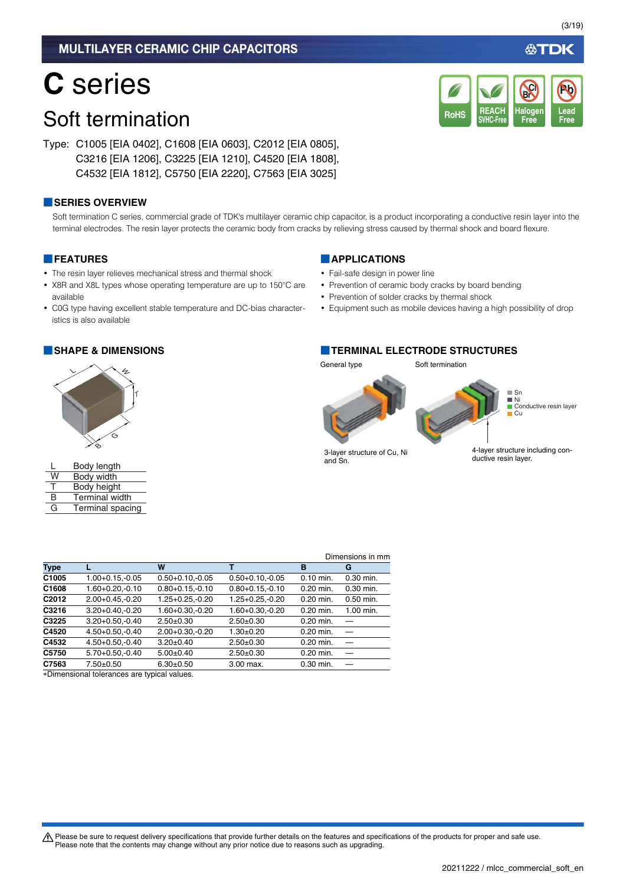# **C** series

# Soft termination

Type: C1005 [EIA 0402], C1608 [EIA 0603], C2012 [EIA 0805], C3216 [EIA 1206], C3225 [EIA 1210], C4520 [EIA 1808], C4532 [EIA 1812], C5750 [EIA 2220], C7563 [EIA 3025]

### **■SERIES OVERVIEW**

Soft termination C series, commercial grade of TDK's multilayer ceramic chip capacitor, is a product incorporating a conductive resin layer into the terminal electrodes. The resin layer protects the ceramic body from cracks by relieving stress caused by thermal shock and board flexure.

### **■FEATURES**

- The resin layer relieves mechanical stress and thermal shock
- X8R and X8L types whose operating temperature are up to 150°C are available
- C0G type having excellent stable temperature and DC-bias characteristics is also available



|    | Body length           |
|----|-----------------------|
| W  | Body width            |
| л. | Body height           |
| R  | <b>Terminal width</b> |
| G  | Terminal spacing      |

### **■APPLICATIONS**

- Fail-safe design in power line
- Prevention of ceramic body cracks by board bending
- Prevention of solder cracks by thermal shock
- Equipment such as mobile devices having a high possibility of drop

**REACH SVHC-Free**

RoHS SVHC-Free Free Free

**Halogen Free**

**Br Cl**

### **■SHAPE & DIMENSIONS ■TERMINAL ELECTRODE STRUCTURES**

General type Soft termination



and Sn.

ductive resin layer.

|                   |                                             |                      |                      |             | Dimensions in mm |
|-------------------|---------------------------------------------|----------------------|----------------------|-------------|------------------|
| <b>Type</b>       |                                             | W                    | т                    | в           | G                |
| C1005             | $1.00 + 0.15 - 0.05$                        | $0.50 + 0.10 - 0.05$ | $0.50 + 0.10, -0.05$ | $0.10$ min. | $0.30$ min.      |
| C1608             | $1.60 + 0.20 - 0.10$                        | $0.80 + 0.15 - 0.10$ | $0.80 + 0.15 - 0.10$ | $0.20$ min. | $0.30$ min.      |
| C <sub>2012</sub> | $2.00+0.45,-0.20$                           | $1.25 + 0.25 - 0.20$ | $1.25 + 0.25 - 0.20$ | $0.20$ min. | $0.50$ min.      |
| C3216             | $3.20 + 0.40 - 0.20$                        | $1.60 + 0.30 - 0.20$ | $1.60 + 0.30 - 0.20$ | $0.20$ min. | 1.00 min.        |
| C3225             | $3.20 + 0.50, -0.40$                        | $2.50+0.30$          | $2.50+0.30$          | $0.20$ min. |                  |
| C4520             | $4.50 + 0.50 - 0.40$                        | $2.00+0.30,-0.20$    | $1.30+0.20$          | $0.20$ min. |                  |
| C4532             | $4.50 + 0.50 - 0.40$                        | $3.20 \pm 0.40$      | $2.50+0.30$          | $0.20$ min. |                  |
| C5750             | $5.70+0.50,-0.40$                           | $5.00+0.40$          | $2.50+0.30$          | $0.20$ min. |                  |
| C7563             | $7.50+0.50$                                 | $6.30+0.50$          | 3.00 max.            | 0.30 min.   |                  |
|                   | *Dimensional tolerances are typical values. |                      |                      |             |                  |

Dimensional tolerances are typical values.

A Please be sure to request delivery specifications that provide further details on the features and specifications of the products for proper and safe use. Please note that the contents may change without any prior notice due to reasons such as upgrading.

必TDK

**Lead**

**Pb**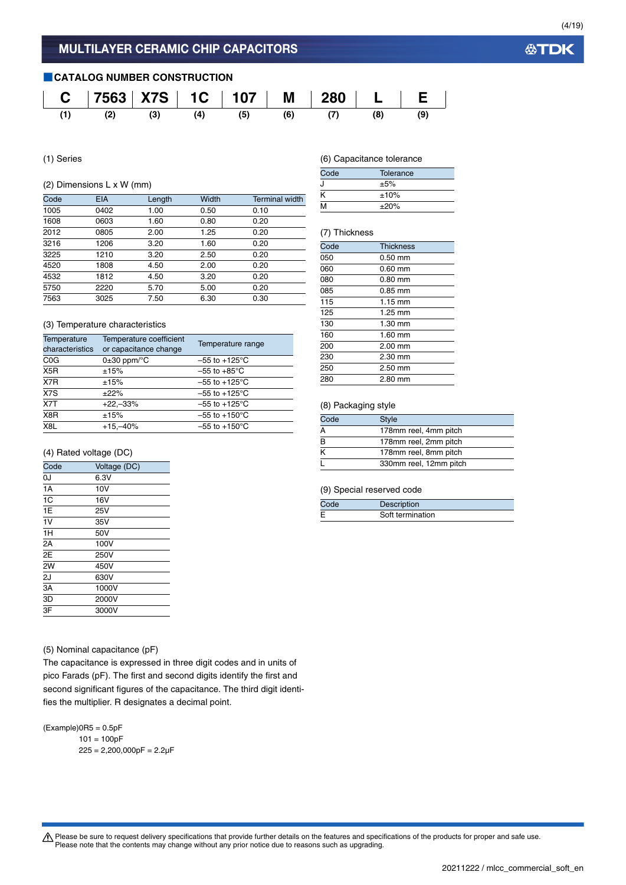### **■CATALOG NUMBER CONSTRUCTION**



(1) Series

### (2) Dimensions L x W (mm)

| Code | <b>EIA</b> | Length | Width | <b>Terminal width</b> |
|------|------------|--------|-------|-----------------------|
| 1005 | 0402       | 1.00   | 0.50  | 0.10                  |
| 1608 | 0603       | 1.60   | 0.80  | 0.20                  |
| 2012 | 0805       | 2.00   | 1.25  | 0.20                  |
| 3216 | 1206       | 3.20   | 1.60  | 0.20                  |
| 3225 | 1210       | 3.20   | 2.50  | 0.20                  |
| 4520 | 1808       | 4.50   | 2.00  | 0.20                  |
| 4532 | 1812       | 4.50   | 3.20  | 0.20                  |
| 5750 | 2220       | 5.70   | 5.00  | 0.20                  |
| 7563 | 3025       | 7.50   | 6.30  | 0.30                  |

### (3) Temperature characteristics

| Temperature<br>characteristics | Temperature coefficient<br>or capacitance change | Temperature range         |
|--------------------------------|--------------------------------------------------|---------------------------|
| C <sub>0</sub> G               | $0\pm 30$ ppm/ $\degree$ C                       | $-55$ to $+125^{\circ}$ C |
| X <sub>5</sub> R               | ±15%                                             | $-55$ to $+85^{\circ}$ C  |
| X7R                            | ±15%                                             | $-55$ to $+125^{\circ}$ C |
| X7S                            | ±22%                                             | $-55$ to $+125^{\circ}$ C |
| X7T                            | $+22,-33%$                                       | $-55$ to $+125^{\circ}$ C |
| X8R                            | ±15%                                             | $-55$ to $+150^{\circ}$ C |
| X <sub>8</sub> L               | $+15,-40%$                                       | $-55$ to $+150^{\circ}$ C |

### (4) Rated voltage (DC)

| Code           | Voltage (DC) |
|----------------|--------------|
| 0J             | 6.3V         |
| 1A             | 10V          |
| 1 <sup>C</sup> | 16V          |
| 1E             | 25V          |
| 1V             | 35V          |
| 1H             | 50V          |
| 2Α             | 100V         |
| 2E             | 250V         |
| 2W             | 450V         |
| 2J             | 630V         |
| 3A             | 1000V        |
| 3D             | 2000V        |
| 3F             | 3000V        |

### (5) Nominal capacitance (pF)

The capacitance is expressed in three digit codes and in units of pico Farads (pF). The first and second digits identify the first and second significant figures of the capacitance. The third digit identifies the multiplier. R designates a decimal point.

 $(Example)$ OR5 = 0.5pF  $101 = 100pF$  $225 = 2,200,000pF = 2.2pF$  (6) Capacitance tolerance

| Code | Tolerance  |  |
|------|------------|--|
|      | ±5%        |  |
|      | ±10%       |  |
| м    | $\pm 20\%$ |  |

### (7) Thickness

| Code | <b>Thickness</b> |
|------|------------------|
| 050  | $0.50$ mm        |
| 060  | $0.60$ mm        |
| 080  | $0.80$ mm        |
| 085  | $0.85$ mm        |
| 115  | 1.15 mm          |
| 125  | $1.25$ mm        |
| 130  | $1.30$ mm        |
| 160  | $1.60$ mm        |
| 200  | 2.00 mm          |
| 230  | $2.30$ mm        |
| 250  | $2.50$ mm        |
| 280  | 2.80 mm          |
|      |                  |

### (8) Packaging style

| Code | <b>Style</b>           |  |
|------|------------------------|--|
| Α    | 178mm reel, 4mm pitch  |  |
| B    | 178mm reel, 2mm pitch  |  |
| κ    | 178mm reel, 8mm pitch  |  |
|      | 330mm reel, 12mm pitch |  |

### (9) Special reserved code

| Code | Description      |
|------|------------------|
| Ε    | Soft termination |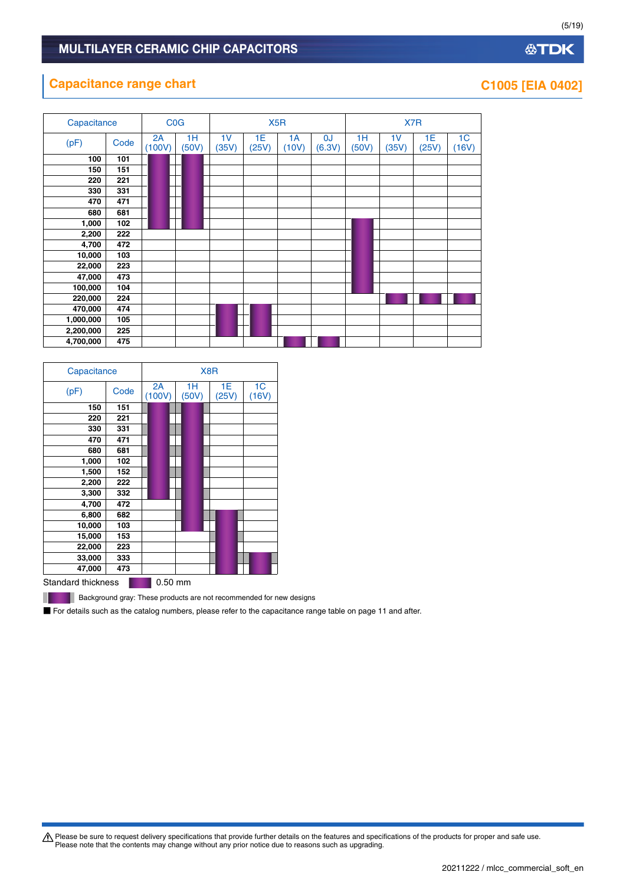### **Capacitance range chart C1005 [EIA 0402]**

| Capacitance |      | <b>C<sub>O</sub></b> G |             | X <sub>5</sub> R        |             |             | X7R          |             |                         |             |                         |
|-------------|------|------------------------|-------------|-------------------------|-------------|-------------|--------------|-------------|-------------------------|-------------|-------------------------|
| (pF)        | Code | 2A<br>(100V)           | 1H<br>(50V) | 1 <sub>V</sub><br>(35V) | 1E<br>(25V) | 1A<br>(10V) | 0J<br>(6.3V) | 1H<br>(50V) | 1 <sub>V</sub><br>(35V) | 1E<br>(25V) | 1 <sub>C</sub><br>(16V) |
| 100         | 101  |                        |             |                         |             |             |              |             |                         |             |                         |
| 150         | 151  |                        |             |                         |             |             |              |             |                         |             |                         |
| 220         | 221  |                        |             |                         |             |             |              |             |                         |             |                         |
| 330         | 331  |                        |             |                         |             |             |              |             |                         |             |                         |
| 470         | 471  |                        |             |                         |             |             |              |             |                         |             |                         |
| 680         | 681  |                        |             |                         |             |             |              |             |                         |             |                         |
| 1,000       | 102  |                        |             |                         |             |             |              |             |                         |             |                         |
| 2,200       | 222  |                        |             |                         |             |             |              |             |                         |             |                         |
| 4,700       | 472  |                        |             |                         |             |             |              |             |                         |             |                         |
| 10,000      | 103  |                        |             |                         |             |             |              |             |                         |             |                         |
| 22,000      | 223  |                        |             |                         |             |             |              |             |                         |             |                         |
| 47,000      | 473  |                        |             |                         |             |             |              |             |                         |             |                         |
| 100,000     | 104  |                        |             |                         |             |             |              |             |                         |             |                         |
| 220,000     | 224  |                        |             |                         |             |             |              |             |                         |             |                         |
| 470,000     | 474  |                        |             |                         |             |             |              |             |                         |             |                         |
| 1,000,000   | 105  |                        |             |                         |             |             |              |             |                         |             |                         |
| 2,200,000   | 225  |                        |             |                         |             |             |              |             |                         |             |                         |
| 4,700,000   | 475  |                        |             |                         |             |             |              |             |                         |             |                         |

| Capacitance        |      | X8R               |             |              |             |  |  |  |  |  |  |
|--------------------|------|-------------------|-------------|--------------|-------------|--|--|--|--|--|--|
| (pF)               | Code | 2A<br>(100V)      | 1Н<br>(50V) | 1E.<br>(25V) | 1C<br>(16V) |  |  |  |  |  |  |
| 150                | 151  |                   |             |              |             |  |  |  |  |  |  |
| 220                | 221  |                   |             |              |             |  |  |  |  |  |  |
| 330                | 331  |                   |             |              |             |  |  |  |  |  |  |
| 470                | 471  |                   |             |              |             |  |  |  |  |  |  |
| 680                | 681  |                   |             |              |             |  |  |  |  |  |  |
| 1,000              | 102  |                   |             |              |             |  |  |  |  |  |  |
| 1,500              | 152  |                   |             |              |             |  |  |  |  |  |  |
| 2,200              | 222  |                   |             |              |             |  |  |  |  |  |  |
| 3,300              | 332  |                   |             |              |             |  |  |  |  |  |  |
| 4,700              | 472  |                   |             |              |             |  |  |  |  |  |  |
| 6,800              | 682  |                   |             |              |             |  |  |  |  |  |  |
| 10,000             | 103  |                   |             |              |             |  |  |  |  |  |  |
| 15,000             | 153  |                   |             |              |             |  |  |  |  |  |  |
| 22,000             | 223  |                   |             |              |             |  |  |  |  |  |  |
| 33,000             | 333  |                   |             |              |             |  |  |  |  |  |  |
| 47,000             | 473  |                   |             |              |             |  |  |  |  |  |  |
| Ctondord thioknoon |      | $0.50 \text{ mm}$ |             |              |             |  |  |  |  |  |  |

Standard thickness **0.50 mm** 

Ш

**Background gray: These products are not recommended for new designs** 

■ For details such as the catalog numbers, please refer to the capacitance range table on page 11 and after.

Please be sure to request delivery specifications that provide further details on the features and specifications of the products for proper and safe use.<br>Please note that the contents may change without any prior notice d

(5/19)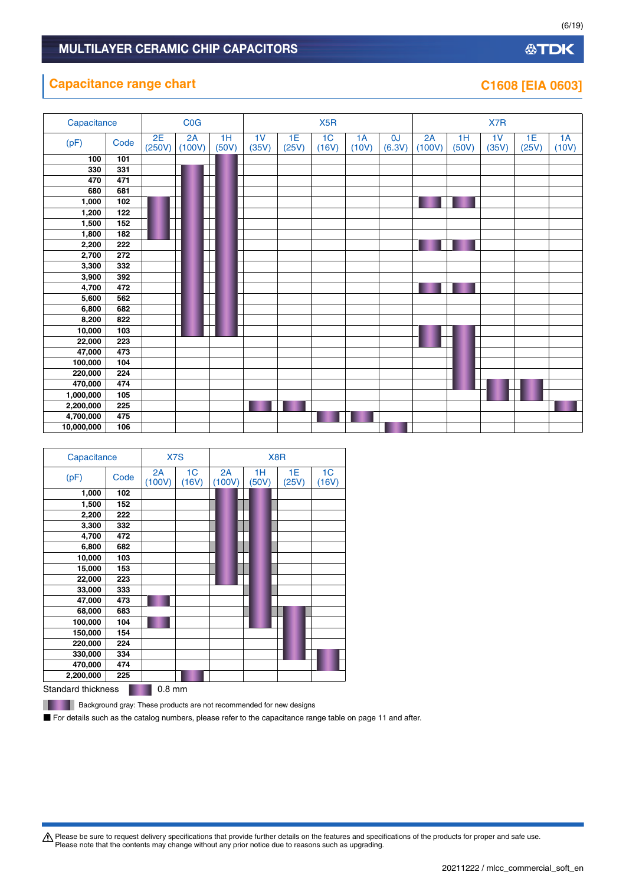### **Capacitance range chart C1608 [EIA 0603]**

| Capacitance |      |              | COG          |             |                         |             | X <sub>5</sub> R        |             |              |              |             | X7R                     |             |             |
|-------------|------|--------------|--------------|-------------|-------------------------|-------------|-------------------------|-------------|--------------|--------------|-------------|-------------------------|-------------|-------------|
| (pF)        | Code | 2E<br>(250V) | 2A<br>(100V) | 1H<br>(50V) | 1 <sub>V</sub><br>(35V) | 1E<br>(25V) | 1 <sub>C</sub><br>(16V) | 1A<br>(10V) | 0J<br>(6.3V) | 2A<br>(100V) | 1H<br>(50V) | 1 <sub>V</sub><br>(35V) | 1E<br>(25V) | 1A<br>(10V) |
| 100         | 101  |              |              |             |                         |             |                         |             |              |              |             |                         |             |             |
| 330         | 331  |              |              |             |                         |             |                         |             |              |              |             |                         |             |             |
| 470         | 471  |              |              |             |                         |             |                         |             |              |              |             |                         |             |             |
| 680         | 681  |              |              |             |                         |             |                         |             |              |              |             |                         |             |             |
| 1,000       | 102  |              |              |             |                         |             |                         |             |              |              |             |                         |             |             |
| 1,200       | 122  |              |              |             |                         |             |                         |             |              |              |             |                         |             |             |
| 1,500       | 152  |              |              |             |                         |             |                         |             |              |              |             |                         |             |             |
| 1,800       | 182  |              |              |             |                         |             |                         |             |              |              |             |                         |             |             |
| 2,200       | 222  |              |              |             |                         |             |                         |             |              |              |             |                         |             |             |
| 2,700       | 272  |              |              |             |                         |             |                         |             |              |              |             |                         |             |             |
| 3,300       | 332  |              |              |             |                         |             |                         |             |              |              |             |                         |             |             |
| 3,900       | 392  |              |              |             |                         |             |                         |             |              |              |             |                         |             |             |
| 4,700       | 472  |              |              |             |                         |             |                         |             |              |              |             |                         |             |             |
| 5,600       | 562  |              |              |             |                         |             |                         |             |              |              |             |                         |             |             |
| 6,800       | 682  |              |              |             |                         |             |                         |             |              |              |             |                         |             |             |
| 8,200       | 822  |              |              |             |                         |             |                         |             |              |              |             |                         |             |             |
| 10,000      | 103  |              |              |             |                         |             |                         |             |              |              |             |                         |             |             |
| 22,000      | 223  |              |              |             |                         |             |                         |             |              |              |             |                         |             |             |
| 47,000      | 473  |              |              |             |                         |             |                         |             |              |              |             |                         |             |             |
| 100,000     | 104  |              |              |             |                         |             |                         |             |              |              |             |                         |             |             |
| 220,000     | 224  |              |              |             |                         |             |                         |             |              |              |             |                         |             |             |
| 470,000     | 474  |              |              |             |                         |             |                         |             |              |              |             |                         |             |             |
| 1,000,000   | 105  |              |              |             |                         |             |                         |             |              |              |             |                         |             |             |
| 2,200,000   | 225  |              |              |             |                         |             |                         |             |              |              |             |                         |             |             |
| 4,700,000   | 475  |              |              |             |                         |             |                         |             |              |              |             |                         |             |             |
| 10,000,000  | 106  |              |              |             |                         |             |                         |             |              |              |             |                         |             |             |

| Capacitance        |      | X7S          |             |              | X8R         |             |                         |  |  |  |
|--------------------|------|--------------|-------------|--------------|-------------|-------------|-------------------------|--|--|--|
| (pF)               | Code | 2A<br>(100V) | 1C<br>(16V) | 2A<br>(100V) | 1H<br>(50V) | 1E<br>(25V) | 1 <sub>C</sub><br>(16V) |  |  |  |
| 1,000              | 102  |              |             |              |             |             |                         |  |  |  |
| 1,500              | 152  |              |             |              |             |             |                         |  |  |  |
| 2,200              | 222  |              |             |              |             |             |                         |  |  |  |
| 3,300              | 332  |              |             |              |             |             |                         |  |  |  |
| 4,700              | 472  |              |             |              |             |             |                         |  |  |  |
| 6,800              | 682  |              |             |              |             |             |                         |  |  |  |
| 10,000             | 103  |              |             |              |             |             |                         |  |  |  |
| 15,000             | 153  |              |             |              |             |             |                         |  |  |  |
| 22,000             | 223  |              |             |              |             |             |                         |  |  |  |
| 33,000             | 333  |              |             |              |             |             |                         |  |  |  |
| 47,000             | 473  |              |             |              |             |             |                         |  |  |  |
| 68,000             | 683  |              |             |              |             |             |                         |  |  |  |
| 100,000            | 104  |              |             |              |             |             |                         |  |  |  |
| 150,000            | 154  |              |             |              |             |             |                         |  |  |  |
| 220,000            | 224  |              |             |              |             |             |                         |  |  |  |
| 330,000            | 334  |              |             |              |             |             |                         |  |  |  |
| 470,000            | 474  |              |             |              |             |             |                         |  |  |  |
| 2,200,000          | 225  |              |             |              |             |             |                         |  |  |  |
| Standard thicknose |      | $0.8$ mm     |             |              |             |             |                         |  |  |  |

Standard thickness **1.2 mm** 

**Background gray: These products are not recommended for new designs** 

■ For details such as the catalog numbers, please refer to the capacitance range table on page 11 and after.

Please be sure to request delivery specifications that provide further details on the features and specifications of the products for proper and safe use.<br>Please note that the contents may change without any prior notice d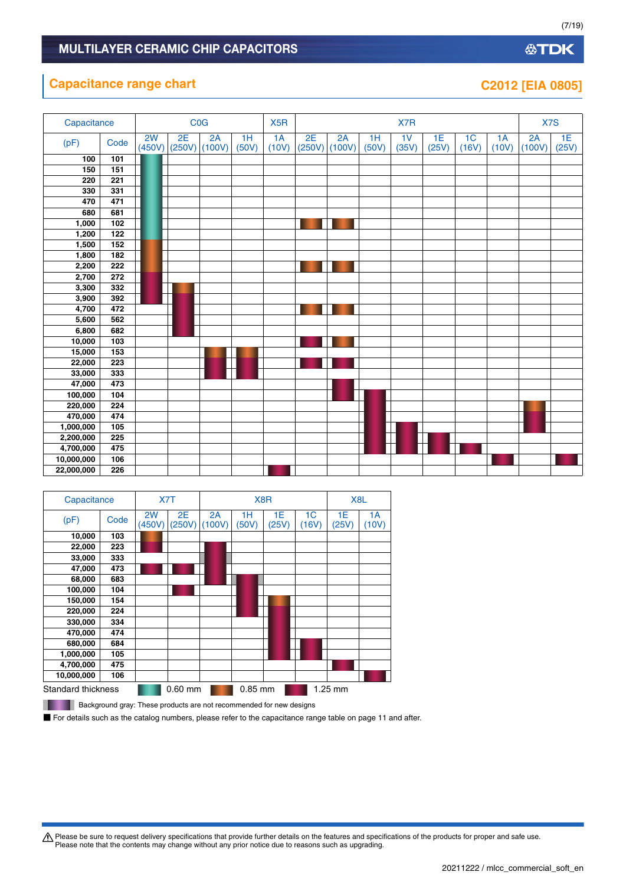### **Capacitance range chart C2012 [EIA 0805]**

**10,000,000 106 22,000,000 226**

| Capacitance |      | COG<br>X <sub>5</sub> R |              |              |             |             | X7R          |              |             |             |             |                         |             | X7S          |             |
|-------------|------|-------------------------|--------------|--------------|-------------|-------------|--------------|--------------|-------------|-------------|-------------|-------------------------|-------------|--------------|-------------|
| (pF)        | Code | 2W<br>(450V)            | 2E<br>(250V) | 2A<br>(100V) | 1H<br>(50V) | 1A<br>(10V) | 2E<br>(250V) | 2A<br>(100V) | 1H<br>(50V) | 1V<br>(35V) | 1E<br>(25V) | 1 <sub>C</sub><br>(16V) | 1A<br>(10V) | 2A<br>(100V) | 1E<br>(25V) |
| 100         | 101  |                         |              |              |             |             |              |              |             |             |             |                         |             |              |             |
| 150         | 151  |                         |              |              |             |             |              |              |             |             |             |                         |             |              |             |
| 220         | 221  |                         |              |              |             |             |              |              |             |             |             |                         |             |              |             |
| 330         | 331  |                         |              |              |             |             |              |              |             |             |             |                         |             |              |             |
| 470         | 471  |                         |              |              |             |             |              |              |             |             |             |                         |             |              |             |
| 680         | 681  |                         |              |              |             |             |              |              |             |             |             |                         |             |              |             |
| 1,000       | 102  |                         |              |              |             |             |              |              |             |             |             |                         |             |              |             |
| 1,200       | 122  |                         |              |              |             |             |              |              |             |             |             |                         |             |              |             |
| 1,500       | 152  |                         |              |              |             |             |              |              |             |             |             |                         |             |              |             |
| 1,800       | 182  |                         |              |              |             |             |              |              |             |             |             |                         |             |              |             |
| 2,200       | 222  |                         |              |              |             |             |              |              |             |             |             |                         |             |              |             |
| 2,700       | 272  |                         |              |              |             |             |              |              |             |             |             |                         |             |              |             |
| 3,300       | 332  |                         |              |              |             |             |              |              |             |             |             |                         |             |              |             |
| 3,900       | 392  |                         |              |              |             |             |              |              |             |             |             |                         |             |              |             |
| 4,700       | 472  |                         |              |              |             |             |              |              |             |             |             |                         |             |              |             |
| 5,600       | 562  |                         |              |              |             |             |              |              |             |             |             |                         |             |              |             |
| 6,800       | 682  |                         |              |              |             |             |              |              |             |             |             |                         |             |              |             |
| 10,000      | 103  |                         |              |              |             |             |              |              |             |             |             |                         |             |              |             |
| 15,000      | 153  |                         |              |              |             |             |              |              |             |             |             |                         |             |              |             |
| 22,000      | 223  |                         |              |              |             |             |              |              |             |             |             |                         |             |              |             |
| 33,000      | 333  |                         |              |              |             |             |              |              |             |             |             |                         |             |              |             |
| 47,000      | 473  |                         |              |              |             |             |              |              |             |             |             |                         |             |              |             |
| 100,000     | 104  |                         |              |              |             |             |              |              |             |             |             |                         |             |              |             |
| 220,000     | 224  |                         |              |              |             |             |              |              |             |             |             |                         |             |              |             |
| 470,000     | 474  |                         |              |              |             |             |              |              |             |             |             |                         |             |              |             |
| 1,000,000   | 105  |                         |              |              |             |             |              |              |             |             |             |                         |             |              |             |
| 2,200,000   | 225  |                         |              |              |             |             |              |              |             |             |             |                         |             |              |             |
| 4,700,000   | 475  |                         |              |              |             |             |              |              |             |             |             |                         |             |              |             |

| Capacitance               |      |              | X7T          |              |             | X8R         |                         |             | X <sub>8</sub> L |
|---------------------------|------|--------------|--------------|--------------|-------------|-------------|-------------------------|-------------|------------------|
| (pF)                      | Code | 2W<br>(450V) | 2E<br>(250V) | 2A<br>(100V) | 1H<br>(50V) | 1E<br>(25V) | 1 <sup>C</sup><br>(16V) | 1E<br>(25V) | 1A<br>(10V)      |
| 10,000                    | 103  |              |              |              |             |             |                         |             |                  |
| 22,000                    | 223  |              |              |              |             |             |                         |             |                  |
| 33,000                    | 333  |              |              |              |             |             |                         |             |                  |
| 47,000                    | 473  |              |              |              |             |             |                         |             |                  |
| 68,000                    | 683  |              |              |              |             |             |                         |             |                  |
| 100,000                   | 104  |              |              |              |             |             |                         |             |                  |
| 150,000                   | 154  |              |              |              |             |             |                         |             |                  |
| 220,000                   | 224  |              |              |              |             |             |                         |             |                  |
| 330,000                   | 334  |              |              |              |             |             |                         |             |                  |
| 470,000                   | 474  |              |              |              |             |             |                         |             |                  |
| 680,000                   | 684  |              |              |              |             |             |                         |             |                  |
| 1,000,000                 | 105  |              |              |              |             |             |                         |             |                  |
| 4,700,000                 | 475  |              |              |              |             |             |                         |             |                  |
| 10,000,000                | 106  |              |              |              |             |             |                         |             |                  |
| <b>Standard thickness</b> |      |              | $0.60$ mm    |              | $0.85$ mm   |             |                         | $1.25$ mm   |                  |

**Background gray: These products are not recommended for new designs** 

■ For details such as the catalog numbers, please refer to the capacitance range table on page 11 and after.

Please be sure to request delivery specifications that provide further details on the features and specifications of the products for proper and safe use.<br>Please note that the contents may change without any prior notice d

(7/19)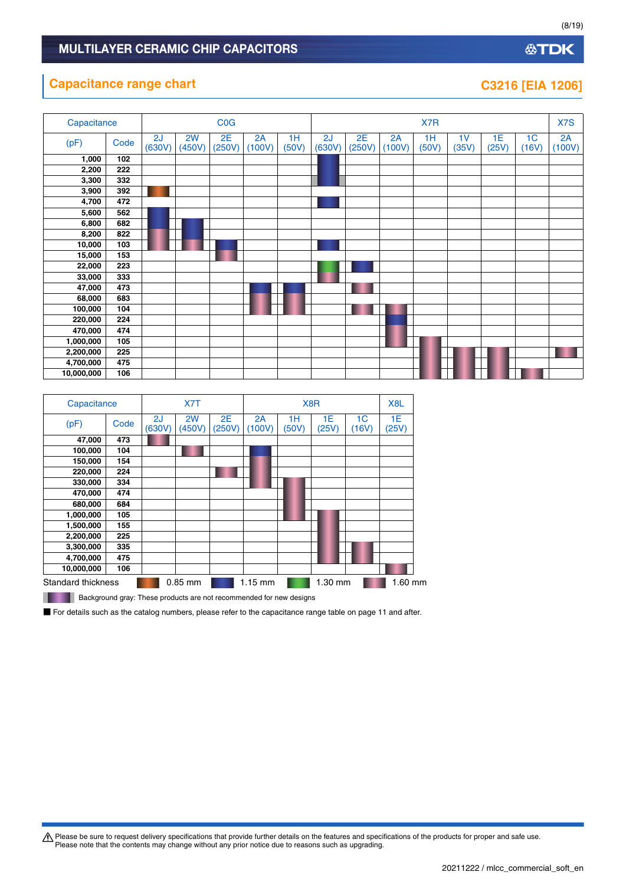### **Capacitance range chart C3216 [EIA 1206]**

| 23216 Г |  | TEIA 10. | ואו |
|---------|--|----------|-----|
|         |  |          |     |

**公TDK** 

| Capacitance |      | COG          |              |              |              |             | X7R          |              |              |             |             |             |                         | X7S          |
|-------------|------|--------------|--------------|--------------|--------------|-------------|--------------|--------------|--------------|-------------|-------------|-------------|-------------------------|--------------|
| (pF)        | Code | 2J<br>(630V) | 2W<br>(450V) | 2E<br>(250V) | 2A<br>(100V) | 1H<br>(50V) | 2J<br>(630V) | 2E<br>(250V) | 2A<br>(100V) | 1H<br>(50V) | 1V<br>(35V) | 1E<br>(25V) | 1 <sub>C</sub><br>(16V) | 2A<br>(100V) |
| 1,000       | 102  |              |              |              |              |             |              |              |              |             |             |             |                         |              |
| 2,200       | 222  |              |              |              |              |             |              |              |              |             |             |             |                         |              |
| 3,300       | 332  |              |              |              |              |             |              |              |              |             |             |             |                         |              |
| 3,900       | 392  |              |              |              |              |             |              |              |              |             |             |             |                         |              |
| 4,700       | 472  |              |              |              |              |             |              |              |              |             |             |             |                         |              |
| 5,600       | 562  |              |              |              |              |             |              |              |              |             |             |             |                         |              |
| 6,800       | 682  |              |              |              |              |             |              |              |              |             |             |             |                         |              |
| 8,200       | 822  |              |              |              |              |             |              |              |              |             |             |             |                         |              |
| 10,000      | 103  |              |              |              |              |             |              |              |              |             |             |             |                         |              |
| 15,000      | 153  |              |              |              |              |             |              |              |              |             |             |             |                         |              |
| 22,000      | 223  |              |              |              |              |             |              |              |              |             |             |             |                         |              |
| 33,000      | 333  |              |              |              |              |             |              |              |              |             |             |             |                         |              |
| 47,000      | 473  |              |              |              |              |             |              |              |              |             |             |             |                         |              |
| 68,000      | 683  |              |              |              |              |             |              |              |              |             |             |             |                         |              |
| 100,000     | 104  |              |              |              |              |             |              |              |              |             |             |             |                         |              |
| 220,000     | 224  |              |              |              |              |             |              |              |              |             |             |             |                         |              |
| 470,000     | 474  |              |              |              |              |             |              |              |              |             |             |             |                         |              |
| 1,000,000   | 105  |              |              |              |              |             |              |              |              |             |             |             |                         |              |
| 2,200,000   | 225  |              |              |              |              |             |              |              |              |             |             |             |                         |              |
| 4,700,000   | 475  |              |              |              |              |             |              |              |              |             |             |             |                         |              |
| 10,000,000  | 106  |              |              |              |              |             |              |              |              |             |             |             |                         |              |

| Capacitance        |      | X7T<br>X <sub>8</sub> R |              |              |              |             |             |             | X <sub>8</sub> L |
|--------------------|------|-------------------------|--------------|--------------|--------------|-------------|-------------|-------------|------------------|
| (pF)               | Code | 2J<br>(630V)            | 2W<br>(450V) | 2E<br>(250V) | 2A<br>(100V) | 1Н<br>(50V) | 1E<br>(25V) | 1C<br>(16V) | 1E<br>(25V)      |
| 47,000             | 473  |                         |              |              |              |             |             |             |                  |
| 100,000            | 104  |                         |              |              |              |             |             |             |                  |
| 150,000            | 154  |                         |              |              |              |             |             |             |                  |
| 220,000            | 224  |                         |              |              |              |             |             |             |                  |
| 330,000            | 334  |                         |              |              |              |             |             |             |                  |
| 470,000            | 474  |                         |              |              |              |             |             |             |                  |
| 680,000            | 684  |                         |              |              |              |             |             |             |                  |
| 1,000,000          | 105  |                         |              |              |              |             |             |             |                  |
| 1,500,000          | 155  |                         |              |              |              |             |             |             |                  |
| 2,200,000          | 225  |                         |              |              |              |             |             |             |                  |
| 3,300,000          | 335  |                         |              |              |              |             |             |             |                  |
| 4,700,000          | 475  |                         |              |              |              |             |             |             |                  |
| 10,000,000         | 106  |                         |              |              |              |             |             |             |                  |
| Standard thickness |      |                         | $0.85$ mm    |              | $1.15$ mm    |             | 1.30 mm     |             | 1.60 mm          |
| _____              |      |                         |              |              |              |             |             |             |                  |

**Background gray: These products are not recommended for new designs** 

■ For details such as the catalog numbers, please refer to the capacitance range table on page 11 and after.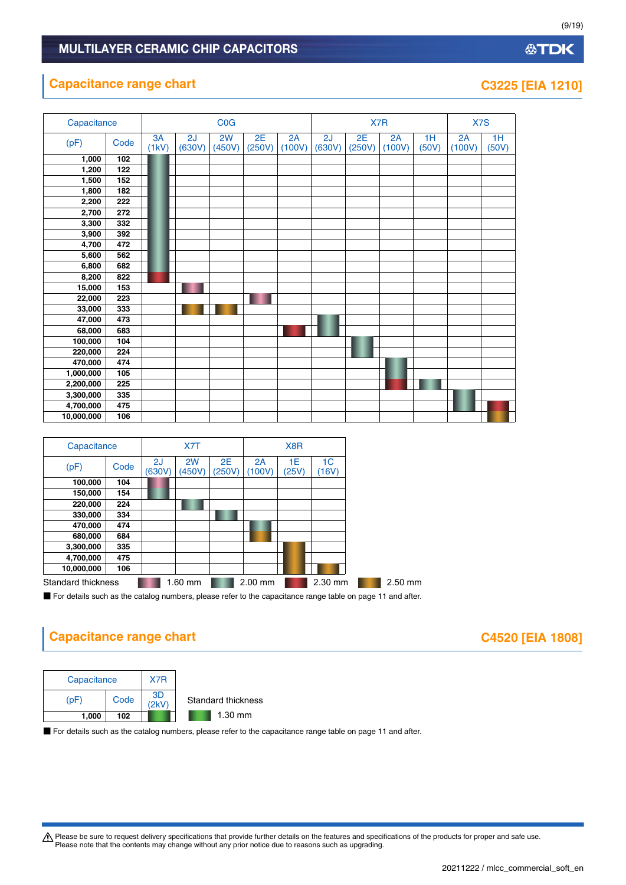### **Capacitance range chart C3225 [EIA 1210]**

| Capacitance |      |             |              | <b>COG</b>   |              |              |              | X7R          |              | X7S         |              |             |
|-------------|------|-------------|--------------|--------------|--------------|--------------|--------------|--------------|--------------|-------------|--------------|-------------|
| (pF)        | Code | 3A<br>(1kV) | 2J<br>(630V) | 2W<br>(450V) | 2E<br>(250V) | 2A<br>(100V) | 2J<br>(630V) | 2E<br>(250V) | 2A<br>(100V) | 1H<br>(50V) | 2A<br>(100V) | 1H<br>(50V) |
| 1,000       | 102  |             |              |              |              |              |              |              |              |             |              |             |
| 1,200       | 122  |             |              |              |              |              |              |              |              |             |              |             |
| 1,500       | 152  |             |              |              |              |              |              |              |              |             |              |             |
| 1,800       | 182  |             |              |              |              |              |              |              |              |             |              |             |
| 2,200       | 222  |             |              |              |              |              |              |              |              |             |              |             |
| 2,700       | 272  |             |              |              |              |              |              |              |              |             |              |             |
| 3,300       | 332  |             |              |              |              |              |              |              |              |             |              |             |
| 3,900       | 392  |             |              |              |              |              |              |              |              |             |              |             |
| 4,700       | 472  |             |              |              |              |              |              |              |              |             |              |             |
| 5,600       | 562  |             |              |              |              |              |              |              |              |             |              |             |
| 6,800       | 682  |             |              |              |              |              |              |              |              |             |              |             |
| 8,200       | 822  |             |              |              |              |              |              |              |              |             |              |             |
| 15,000      | 153  |             |              |              |              |              |              |              |              |             |              |             |
| 22,000      | 223  |             |              |              |              |              |              |              |              |             |              |             |
| 33,000      | 333  |             |              |              |              |              |              |              |              |             |              |             |
| 47,000      | 473  |             |              |              |              |              |              |              |              |             |              |             |
| 68,000      | 683  |             |              |              |              |              |              |              |              |             |              |             |
| 100,000     | 104  |             |              |              |              |              |              |              |              |             |              |             |
| 220,000     | 224  |             |              |              |              |              |              |              |              |             |              |             |
| 470,000     | 474  |             |              |              |              |              |              |              |              |             |              |             |
| 1,000,000   | 105  |             |              |              |              |              |              |              |              |             |              |             |
| 2,200,000   | 225  |             |              |              |              |              |              |              |              |             |              |             |
| 3,300,000   | 335  |             |              |              |              |              |              |              |              |             |              |             |
| 4,700,000   | 475  |             |              |              |              |              |              |              |              |             |              |             |
| 10,000,000  | 106  |             |              |              |              |              |              |              |              |             |              |             |

| Capacitance        |      |              | X7T          |              |              | X <sub>8</sub> R |                         |         |
|--------------------|------|--------------|--------------|--------------|--------------|------------------|-------------------------|---------|
| (pF)               | Code | 2J<br>(630V) | 2W<br>(450V) | 2E<br>(250V) | 2A<br>(100V) | 1Е<br>(25V)      | 1 <sup>C</sup><br>(16V) |         |
| 100,000            | 104  |              |              |              |              |                  |                         |         |
| 150,000            | 154  |              |              |              |              |                  |                         |         |
| 220,000            | 224  |              |              |              |              |                  |                         |         |
| 330,000            | 334  |              |              |              |              |                  |                         |         |
| 470,000            | 474  |              |              |              |              |                  |                         |         |
| 680,000            | 684  |              |              |              |              |                  |                         |         |
| 3,300,000          | 335  |              |              |              |              |                  |                         |         |
| 4,700,000          | 475  |              |              |              |              |                  |                         |         |
| 10,000,000         | 106  |              |              |              |              |                  |                         |         |
| Standard thickness |      |              | 1.60 mm      |              | $2.00$ mm    |                  | 2.30 mm                 | 2.50 mm |
|                    |      |              |              |              |              |                  |                         |         |

■ For details such as the catalog numbers, please refer to the capacitance range table on page 11 and after.

## **Capacitance range chart C4520 [EIA 1808]**

| Capacitance |      | X7R |                    |
|-------------|------|-----|--------------------|
| (DF)        | Code | 3D  | Standard thickness |
| 1.000       | 102  |     | $1.30$ mm          |

■ For details such as the catalog numbers, please refer to the capacitance range table on page 11 and after.

Please be sure to request delivery specifications that provide further details on the features and specifications of the products for proper and safe use.<br>Please note that the contents may change without any prior notice d

### **公TDK**

(9/19)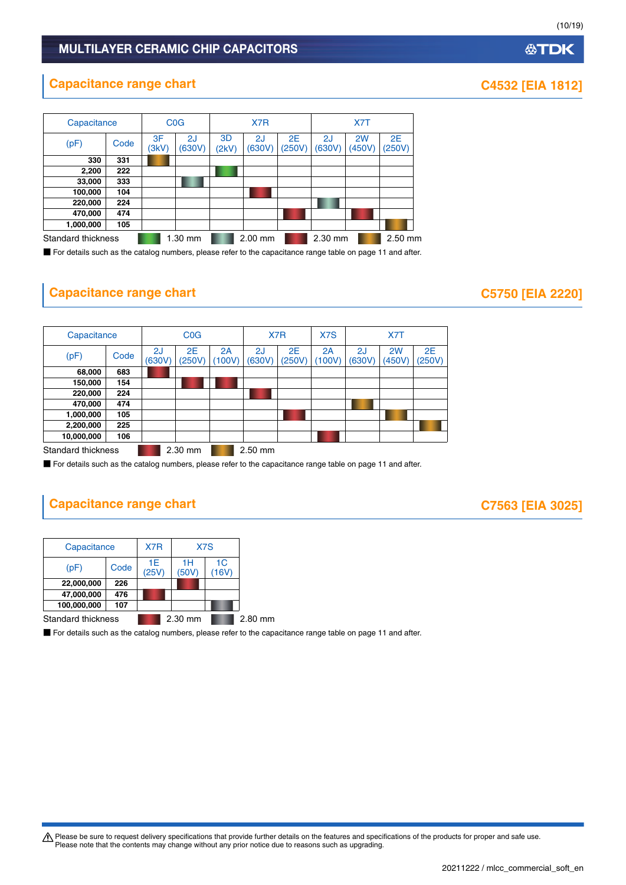### **Capacitance range chart CAS32 [EIA 1812]**

| Capacitance                     |      |             | <b>C<sub>0</sub>G</b> | X7R         |              |                     |              |              |              |
|---------------------------------|------|-------------|-----------------------|-------------|--------------|---------------------|--------------|--------------|--------------|
| (pF)                            | Code | 3F<br>(3kV) | 2J<br>(630V)          | 3D<br>(2kV) | 2J<br>(630V) | <b>2E</b><br>(250V) | 2J<br>(630V) | 2W<br>(450V) | 2E<br>(250V) |
| 330                             | 331  |             |                       |             |              |                     |              |              |              |
| 2,200                           | 222  |             |                       |             |              |                     |              |              |              |
| 33,000                          | 333  |             |                       |             |              |                     |              |              |              |
| 100,000                         | 104  |             |                       |             |              |                     |              |              |              |
| 220,000                         | 224  |             |                       |             |              |                     |              |              |              |
| 470,000                         | 474  |             |                       |             |              |                     |              |              |              |
| 1,000,000                       | 105  |             |                       |             |              |                     |              |              |              |
| Standard thickness<br>$1.30$ mm |      |             | $2.00$ mm             |             | 2.30 mm      |                     | 2.50 mm      |              |              |

■ For details such as the catalog numbers, please refer to the capacitance range table on page 11 and after.

### **Capacitance range chart C5750 [EIA 2220]**

| Capacitance        |      | <b>C<sub>O</sub></b> |              | X7R          |              | X7S          | X7T          |              |                          |              |
|--------------------|------|----------------------|--------------|--------------|--------------|--------------|--------------|--------------|--------------------------|--------------|
| (pF)               | Code | 2J<br>(630V)         | 2E<br>(250V) | 2A<br>(100V) | 2J<br>(630V) | 2E<br>(250V) | 2Α<br>(100V) | 2J<br>(630V) | 2 <sub>W</sub><br>(450V) | 2E<br>(250V) |
| 68,000             | 683  |                      |              |              |              |              |              |              |                          |              |
| 150,000            | 154  |                      |              |              |              |              |              |              |                          |              |
| 220,000            | 224  |                      |              |              |              |              |              |              |                          |              |
| 470,000            | 474  |                      |              |              |              |              |              |              |                          |              |
| 1,000,000          | 105  |                      |              |              |              |              |              |              |                          |              |
| 2,200,000          | 225  |                      |              |              |              |              |              |              |                          |              |
| 10,000,000<br>106  |      |                      |              |              |              |              |              |              |                          |              |
| Standard thickness |      |                      | 2.30 mm      |              | $2.50$ mm    |              |              |              |                          |              |

■ For details such as the catalog numbers, please refer to the capacitance range table on page 11 and after.

### **Capacitance range chart C7563 [EIA 3025]**

| Capacitance        | X7R |             | X7S         |             |         |
|--------------------|-----|-------------|-------------|-------------|---------|
| Code<br>(pF        |     | 1E<br>(25V) | 1Н<br>(50V) | 1C<br>(16V) |         |
| 22,000,000         | 226 |             |             |             |         |
| 47,000,000         | 476 |             |             |             |         |
| 100,000,000        | 107 |             |             |             |         |
| Standard thickness |     |             | 2.30 mm     |             | 2.80 mm |

■ For details such as the catalog numbers, please refer to the capacitance range table on page 11 and after.

Please be sure to request delivery specifications that provide further details on the features and specifications of the products for proper and safe use.<br>Please note that the contents may change without any prior notice d

## **公TDK**

(10/19)

20211222 / mlcc\_commercial\_soft\_en.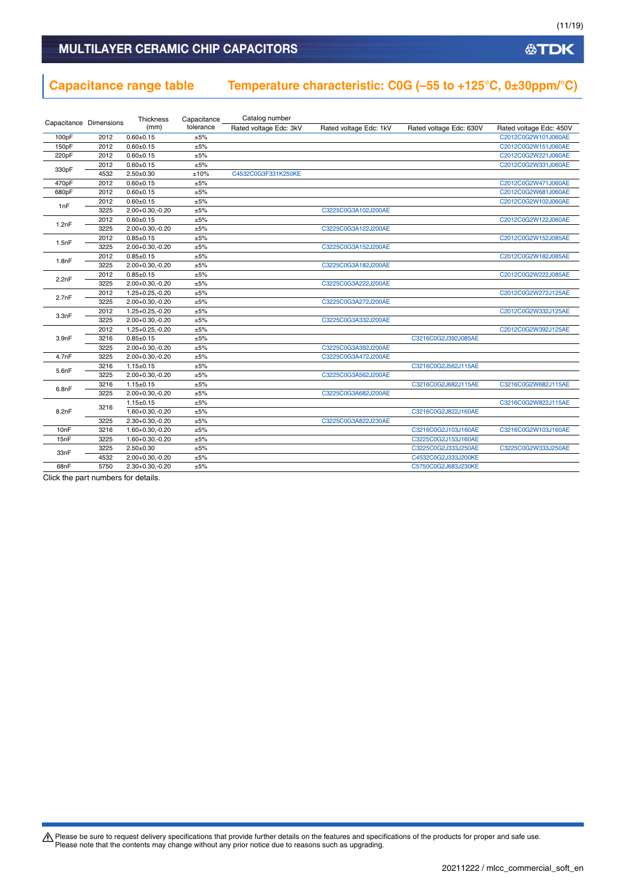**公TDK** 

### MULTILAYER CERAMIC CHIP CAPACITORS

# **Capacitance range table Temperature characteristic: C0G (–55 to +125°C, 0±30ppm/°C)**

|                        |      | <b>Thickness</b>     | Capacitance | Catalog number         |                        |                         |                         |
|------------------------|------|----------------------|-------------|------------------------|------------------------|-------------------------|-------------------------|
| Capacitance Dimensions |      | (mm)                 | tolerance   | Rated voltage Edc: 3kV | Rated voltage Edc: 1kV | Rated voltage Edc: 630V | Rated voltage Edc: 450V |
| 100pF                  | 2012 | $0.60 + 0.15$        | ±5%         |                        |                        |                         | C2012C0G2W101J060AE     |
| 150pF                  | 2012 | $0.60 + 0.15$        | ±5%         |                        |                        |                         | C2012C0G2W151J060AE     |
| 220pF                  | 2012 | $0.60 + 0.15$        | ±5%         |                        |                        |                         | C2012C0G2W221J060AE     |
|                        | 2012 | $0.60 + 0.15$        | ±5%         |                        |                        |                         | C2012C0G2W331J060AE     |
| 330pF                  | 4532 | $2.50 + 0.30$        | ±10%        | C4532C0G3F331K250KE    |                        |                         |                         |
| 470pF                  | 2012 | $0.60 + 0.15$        | ±5%         |                        |                        |                         | C2012C0G2W471J060AE     |
| 680pF                  | 2012 | $0.60 + 0.15$        | ±5%         |                        |                        |                         | C2012C0G2W681J060AE     |
| 1nF                    | 2012 | $0.60 + 0.15$        | ±5%         |                        |                        |                         | C2012C0G2W102J060AE     |
|                        | 3225 | $2.00 + 0.30, -0.20$ | ±5%         |                        | C3225C0G3A102J200AE    |                         |                         |
| 1.2nF                  | 2012 | $0.60 + 0.15$        | ±5%         |                        |                        |                         | C2012C0G2W122J060AE     |
|                        | 3225 | $2.00 + 0.30 - 0.20$ | ±5%         |                        | C3225C0G3A122J200AE    |                         |                         |
|                        | 2012 | $0.85 \pm 0.15$      | ±5%         |                        |                        |                         | C2012C0G2W152J085AE     |
| 1.5nF                  | 3225 | $2.00+0.30,-0.20$    | ±5%         |                        | C3225C0G3A152J200AE    |                         |                         |
|                        | 2012 | $0.85 \pm 0.15$      | ±5%         |                        |                        |                         | C2012C0G2W182J085AE     |
| 1.8nF                  | 3225 | 2.00+0.30,-0.20      | ±5%         |                        | C3225C0G3A182J200AE    |                         |                         |
| 2.2nF                  | 2012 | $0.85 \pm 0.15$      | ±5%         |                        |                        |                         | C2012C0G2W222J085AE     |
|                        | 3225 | 2.00+0.30,-0.20      | ±5%         |                        | C3225C0G3A222J200AE    |                         |                         |
| 2.7nF                  | 2012 | $1.25 + 0.25 - 0.20$ | ±5%         |                        |                        |                         | C2012C0G2W272J125AE     |
|                        | 3225 | $2.00+0.30,-0.20$    | ±5%         |                        | C3225C0G3A272J200AE    |                         |                         |
| 3.3nF                  | 2012 | $1.25 + 0.25 - 0.20$ | ±5%         |                        |                        |                         | C2012C0G2W332J125AE     |
|                        | 3225 | $2.00+0.30,-0.20$    | ±5%         |                        | C3225C0G3A332J200AE    |                         |                         |
|                        | 2012 | $1.25 + 0.25 - 0.20$ | ±5%         |                        |                        |                         | C2012C0G2W392J125AE     |
| 3.9nF                  | 3216 | $0.85 \pm 0.15$      | ±5%         |                        |                        | C3216C0G2J392J085AE     |                         |
|                        | 3225 | $2.00+0.30,-0.20$    | ±5%         |                        | C3225C0G3A392J200AE    |                         |                         |
| 4.7nF                  | 3225 | $2.00+0.30,-0.20$    | ±5%         |                        | C3225C0G3A472J200AE    |                         |                         |
| 5.6nF                  | 3216 | $1.15 \pm 0.15$      | ±5%         |                        |                        | C3216C0G2J562J115AE     |                         |
|                        | 3225 | 2.00+0.30,-0.20      | ±5%         |                        | C3225C0G3A562J200AE    |                         |                         |
| 6.8nF                  | 3216 | $1.15 \pm 0.15$      | ±5%         |                        |                        | C3216C0G2J682J115AE     | C3216C0G2W682J115AE     |
|                        | 3225 | $2.00+0.30,-0.20$    | ±5%         |                        | C3225C0G3A682J200AE    |                         |                         |
|                        | 3216 | $1.15 \pm 0.15$      | ±5%         |                        |                        |                         | C3216C0G2W822J115AE     |
| 8.2nF                  |      | 1.60+0.30,-0.20      | ±5%         |                        |                        | C3216C0G2J822J160AE     |                         |
|                        | 3225 | $2.30+0.30,-0.20$    | ±5%         |                        | C3225C0G3A822J230AE    |                         |                         |
| 10nF                   | 3216 | 1.60+0.30,-0.20      | ±5%         |                        |                        | C3216C0G2J103J160AE     | C3216C0G2W103J160AE     |
| 15nF                   | 3225 | 1.60+0.30,-0.20      | ±5%         |                        |                        | C3225C0G2J153J160AE     |                         |
| 33nF                   | 3225 | $2.50 + 0.30$        | ±5%         |                        |                        | C3225C0G2J333J250AE     | C3225C0G2W333J250AE     |
|                        | 4532 | 2.00+0.30,-0.20      | ±5%         |                        |                        | C4532C0G2J333J200KE     |                         |
| 68nF                   | 5750 | $2.30+0.30,-0.20$    | ±5%         |                        |                        | C5750C0G2J683J230KE     |                         |

Click the part numbers for details.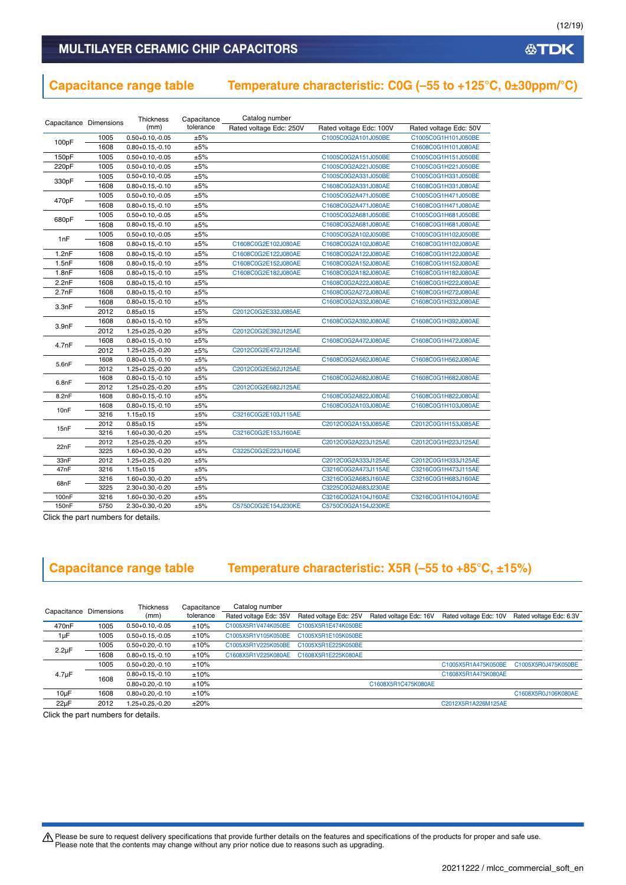### **Capacitance range table Temperature characteristic: C0G (–55 to +125°C, 0±30ppm/°C)**

| Capacitance Dimensions |              | Thickness                               | Capacitance | Catalog number          |                                            |                                            |  |  |
|------------------------|--------------|-----------------------------------------|-------------|-------------------------|--------------------------------------------|--------------------------------------------|--|--|
|                        |              | (mm)                                    | tolerance   | Rated voltage Edc: 250V | Rated voltage Edc: 100V                    | Rated voltage Edc: 50V                     |  |  |
|                        | 1005         | $0.50 + 0.10, -0.05$                    | ±5%         |                         | C1005C0G2A101J050BE                        | C1005C0G1H101J050BE                        |  |  |
| 100pF                  | 1608         | $0.80 + 0.15, -0.10$                    | ±5%         |                         |                                            | C1608C0G1H101J080AE                        |  |  |
| 150pF                  | 1005         | $0.50 + 0.10, -0.05$                    | ±5%         |                         | C1005C0G2A151J050BE                        | C1005C0G1H151J050BE                        |  |  |
| 220pF                  | 1005         | $0.50 + 0.10, -0.05$                    | ±5%         |                         | C1005C0G2A221J050BE                        | C1005C0G1H221J050BE                        |  |  |
|                        | 1005         | $0.50 + 0.10, -0.05$                    | ±5%         |                         | C1005C0G2A331J050BE                        | C1005C0G1H331J050BE                        |  |  |
| 330pF                  | 1608         | $0.80 + 0.15, -0.10$                    | ±5%         |                         | C1608C0G2A331J080AE                        | C1608C0G1H331J080AE                        |  |  |
|                        | 1005         | $0.50 + 0.10, -0.05$                    | ±5%         |                         | C1005C0G2A471J050BE                        | C1005C0G1H471J050BE                        |  |  |
| 470pF                  | 1608         | $0.80 + 0.15, -0.10$                    | ±5%         |                         | C1608C0G2A471J080AE                        | C1608C0G1H471J080AE                        |  |  |
|                        | 1005         | $0.50 + 0.10, -0.05$                    | ±5%         |                         | C1005C0G2A681J050BE                        | C1005C0G1H681J050BE                        |  |  |
| 680pF                  | 1608         | $0.80 + 0.15, -0.10$                    | ±5%         |                         | C1608C0G2A681J080AE                        | C1608C0G1H681J080AE                        |  |  |
|                        | 1005         | $0.50 + 0.10, -0.05$                    | ±5%         |                         | C1005C0G2A102J050BE                        | C1005C0G1H102J050BE                        |  |  |
| 1nF                    | 1608         | $0.80 + 0.15, -0.10$                    | ±5%         | C1608C0G2E102J080AE     | C1608C0G2A102J080AE                        | C1608C0G1H102J080AE                        |  |  |
| 1.2nF                  | 1608         | $0.80 + 0.15, -0.10$                    | ±5%         | C1608C0G2E122J080AE     | C1608C0G2A122J080AE                        | C1608C0G1H122J080AE                        |  |  |
| 1.5nF                  | 1608         | $0.80 + 0.15, -0.10$                    | ±5%         | C1608C0G2E152J080AE     | C1608C0G2A152J080AE                        | C1608C0G1H152J080AE                        |  |  |
| 1.8nF                  | 1608         | $0.80 + 0.15, -0.10$                    | ±5%         | C1608C0G2E182J080AE     | C1608C0G2A182J080AE                        | C1608C0G1H182J080AE                        |  |  |
| 2.2nF                  | 1608         | $0.80 + 0.15, -0.10$                    | ±5%         |                         | C1608C0G2A222J080AE                        | C1608C0G1H222J080AE                        |  |  |
| 2.7nF                  | 1608         | $0.80 + 0.15, -0.10$                    | ±5%         |                         | C1608C0G2A272J080AE                        | C1608C0G1H272J080AE                        |  |  |
|                        | 1608         | $0.80 + 0.15, -0.10$                    | ±5%         |                         | C1608C0G2A332J080AE                        | C1608C0G1H332J080AE                        |  |  |
| 3.3nF                  | 2012         | $0.85 \pm 0.15$                         | ±5%         | C2012C0G2E332J085AE     |                                            |                                            |  |  |
|                        | 1608         | $0.80 + 0.15, -0.10$                    | ±5%         |                         | C1608C0G2A392J080AE                        | C1608C0G1H392J080AE                        |  |  |
| 3.9nF                  | 2012         | $1.25 + 0.25 - 0.20$                    | ±5%         | C2012C0G2E392J125AE     |                                            |                                            |  |  |
|                        | 1608         | $0.80 + 0.15, -0.10$                    | ±5%         |                         | C1608C0G2A472J080AE                        | C1608C0G1H472J080AE                        |  |  |
| 4.7nF                  | 2012         | $1.25 + 0.25 - 0.20$                    | ±5%         | C2012C0G2E472J125AE     |                                            |                                            |  |  |
| 5.6nF                  | 1608         | $0.80 + 0.15, -0.10$                    | ±5%         |                         | C1608C0G2A562J080AE                        | C1608C0G1H562J080AE                        |  |  |
|                        | 2012         | $1.25 + 0.25 - 0.20$                    | ±5%         | C2012C0G2E562J125AE     |                                            |                                            |  |  |
| 6.8nF                  | 1608         | $0.80 + 0.15, -0.10$                    | ±5%         |                         | C1608C0G2A682J080AE                        | C1608C0G1H682J080AE                        |  |  |
|                        | 2012         | $1.25 + 0.25 - 0.20$                    | ±5%         | C2012C0G2E682J125AE     |                                            |                                            |  |  |
| 8.2nF                  | 1608         | $0.80 + 0.15, -0.10$                    | ±5%         |                         | C1608C0G2A822J080AE                        | C1608C0G1H822J080AE                        |  |  |
| 10 <sub>nF</sub>       | 1608         | $0.80 + 0.15, -0.10$                    | ±5%         |                         | C1608C0G2A103J080AE                        | C1608C0G1H103J080AE                        |  |  |
|                        | 3216         | $1.15 \pm 0.15$                         | ±5%         | C3216C0G2E103J115AE     |                                            |                                            |  |  |
| 15nF                   | 2012         | $0.85 + 0.15$                           | ±5%         |                         | C2012C0G2A153J085AE                        | C2012C0G1H153J085AE                        |  |  |
|                        | 3216         | 1.60+0.30,-0.20                         | ±5%         | C3216C0G2E153J160AE     |                                            |                                            |  |  |
| 22nF                   | 2012         | $1.25 + 0.25, -0.20$                    | ±5%         |                         | C2012C0G2A223J125AE                        | C2012C0G1H223J125AE                        |  |  |
|                        | 3225         | 1.60+0.30,-0.20                         | ±5%         | C3225C0G2E223J160AE     |                                            |                                            |  |  |
| 33nF<br>47nF           | 2012         | $1.25 + 0.25, -0.20$                    | ±5%         |                         | C2012C0G2A333J125AE                        | C2012C0G1H333J125AE                        |  |  |
|                        | 3216<br>3216 | $1.15 \pm 0.15$<br>$1.60 + 0.30, -0.20$ | ±5%<br>±5%  |                         | C3216C0G2A473J115AE<br>C3216C0G2A683J160AE | C3216C0G1H473J115AE<br>C3216C0G1H683J160AE |  |  |
| 68nF                   | 3225         | $2.30+0.30,-0.20$                       | ±5%         |                         | C3225C0G2A683J230AE                        |                                            |  |  |
| 100 <sub>n</sub> F     | 3216         | $1.60 + 0.30, -0.20$                    | ±5%         |                         | C3216C0G2A104J160AE                        | C3216C0G1H104J160AE                        |  |  |
| 150 <sub>n</sub> F     | 5750         | $2.30+0.30,-0.20$                       | ±5%         | C5750C0G2E154J230KE     | C5750C0G2A154J230KE                        |                                            |  |  |

Click the part numbers for details.

# **Capacitance range table Temperature characteristic: X5R (–55 to +85°C, ±15%)**

| Capacitance        | Dimensions | <b>Thickness</b>     | Capacitance | Catalog number         |                        |                        |                        |                         |
|--------------------|------------|----------------------|-------------|------------------------|------------------------|------------------------|------------------------|-------------------------|
|                    |            | (mm)                 | tolerance   | Rated voltage Edc: 35V | Rated voltage Edc: 25V | Rated voltage Edc: 16V | Rated voltage Edc: 10V | Rated voltage Edc: 6.3V |
| 470 <sub>n</sub> F | 1005       | $0.50 + 0.10 - 0.05$ | ±10%        | C1005X5R1V474K050BE    | C1005X5R1E474K050BE    |                        |                        |                         |
| $1 \mu F$          | 1005       | $0.50 + 0.15, -0.05$ | ±10%        | C1005X5R1V105K050BE    | C1005X5R1E105K050BE    |                        |                        |                         |
|                    | 1005       | $0.50 + 0.20, -0.10$ | ±10%        | C1005X5R1V225K050BE    | C1005X5R1E225K050BE    |                        |                        |                         |
| $2.2 \mu F$        | 1608       | $0.80 + 0.15 - 0.10$ | ±10%        | C1608X5R1V225K080AE    | C1608X5R1E225K080AE    |                        |                        |                         |
|                    | 1005       | $0.50 + 0.20 - 0.10$ | ±10%        |                        |                        |                        | C1005X5R1A475K050BE    | C1005X5R0J475K050BE     |
| $4.7 \mu F$        | 1608       | $0.80 + 0.15, -0.10$ | ±10%        |                        |                        |                        | C1608X5R1A475K080AE    |                         |
|                    |            | $0.80 + 0.20 - 0.10$ | ±10%        |                        |                        | C1608X5R1C475K080AE    |                        |                         |
| $10\mu F$          | 1608       | $0.80 + 0.20 - 0.10$ | ±10%        |                        |                        |                        |                        | C1608X5R0J106K080AE     |
| $22\mu F$          | 2012       | 1.25+0.25.-0.20      | ±20%        |                        |                        |                        | C2012X5R1A226M125AE    |                         |

Click the part numbers for details.

Please be sure to request delivery specifications that provide further details on the features and specifications of the products for proper and safe use.<br>Please note that the contents may change without any prior notice d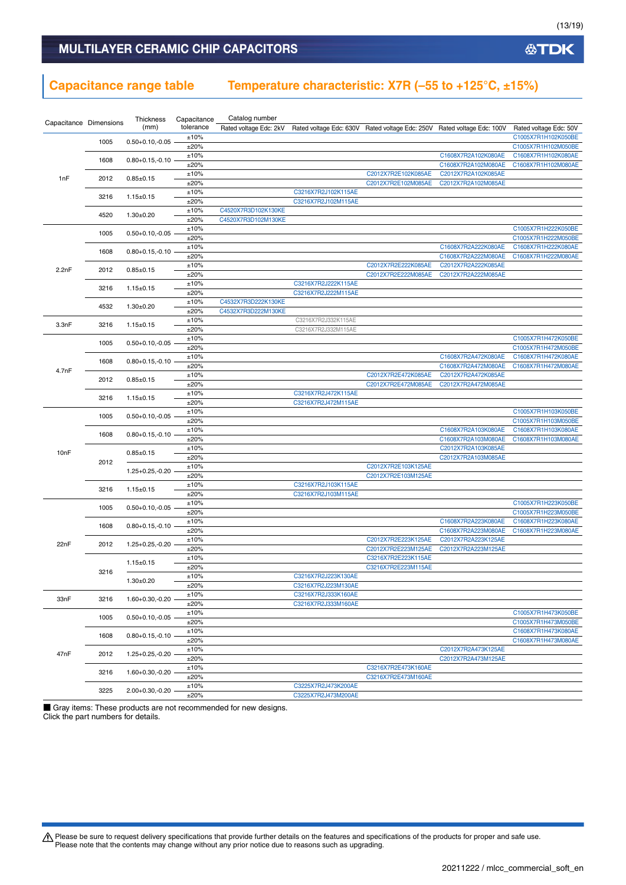### **Capacitance range table Temperature characteristic: X7R (–55 to +125°C, ±15%)**

| Capacitance Dimensions |      | Thickness<br>(mm)       | Capacitance<br>tolerance | Catalog number<br>Rated voltage Edc: 2kV |                                            | Rated voltage Edc: 630V Rated voltage Edc: 250V Rated voltage Edc: 100V |                                            | Rated voltage Edc: 50V                     |
|------------------------|------|-------------------------|--------------------------|------------------------------------------|--------------------------------------------|-------------------------------------------------------------------------|--------------------------------------------|--------------------------------------------|
|                        |      |                         | ±10%                     |                                          |                                            |                                                                         |                                            | C1005X7R1H102K050BE                        |
|                        | 1005 | $0.50 + 0.10, -0.05$    | ±20%                     |                                          |                                            |                                                                         |                                            | C1005X7R1H102M050BE                        |
|                        | 1608 | $0.80 + 0.15, -0.10$    | ±10%                     |                                          |                                            |                                                                         | C1608X7R2A102K080AE                        | C1608X7R1H102K080AE                        |
|                        |      |                         | ±20%                     |                                          |                                            |                                                                         | C1608X7R2A102M080AE                        | C1608X7R1H102M080AE                        |
| 1nF                    | 2012 | $0.85 \pm 0.15$         | ±10%                     |                                          |                                            | C2012X7R2E102K085AE                                                     | C2012X7R2A102K085AE                        |                                            |
|                        |      |                         | ±20%                     |                                          |                                            | C2012X7R2E102M085AE                                                     | C2012X7R2A102M085AE                        |                                            |
|                        | 3216 | $1.15 \pm 0.15$         | ±10%                     |                                          | C3216X7R2J102K115AE                        |                                                                         |                                            |                                            |
|                        |      |                         | ±20%<br>±10%             | C4520X7R3D102K130KE                      | C3216X7R2J102M115AE                        |                                                                         |                                            |                                            |
|                        | 4520 | $1.30 \pm 0.20$         | ±20%                     | C4520X7R3D102M130KE                      |                                            |                                                                         |                                            |                                            |
|                        |      |                         | ±10%                     |                                          |                                            |                                                                         |                                            | C1005X7R1H222K050BE                        |
|                        | 1005 | $0.50 + 0.10, -0.05$    | ±20%                     |                                          |                                            |                                                                         |                                            | C1005X7R1H222M050BE                        |
|                        |      |                         | ±10%                     |                                          |                                            |                                                                         | C1608X7R2A222K080AE                        | C1608X7R1H222K080AE                        |
|                        | 1608 | $0.80 + 0.15, -0.10$    | ±20%                     |                                          |                                            |                                                                         | C1608X7R2A222M080AE                        | C1608X7R1H222M080AE                        |
| 2.2nF                  | 2012 | $0.85 \pm 0.15$         | ±10%                     |                                          |                                            | C2012X7R2E222K085AE                                                     | C2012X7R2A222K085AE                        |                                            |
|                        |      |                         | ±20%                     |                                          |                                            | C2012X7R2E222M085AE                                                     | C2012X7R2A222M085AE                        |                                            |
|                        | 3216 | $1.15 \pm 0.15$         | ±10%                     |                                          | C3216X7R2J222K115AE                        |                                                                         |                                            |                                            |
|                        |      |                         | ±20%                     |                                          | C3216X7R2J222M115AE                        |                                                                         |                                            |                                            |
|                        | 4532 | $1.30 + 0.20$           | ±10%                     | C4532X7R3D222K130KE                      |                                            |                                                                         |                                            |                                            |
|                        |      |                         | ±20%                     | C4532X7R3D222M130KE                      |                                            |                                                                         |                                            |                                            |
| 3.3nF                  | 3216 | $1.15 \pm 0.15$         | ±10%<br>±20%             |                                          | C3216X7R2J332K115AE<br>C3216X7R2J332M115AE |                                                                         |                                            |                                            |
|                        |      |                         | ±10%                     |                                          |                                            |                                                                         |                                            | C1005X7R1H472K050BE                        |
|                        | 1005 | $0.50 + 0.10, -0.05$    | ±20%                     |                                          |                                            |                                                                         |                                            | C1005X7R1H472M050BE                        |
|                        |      |                         | ±10%                     |                                          |                                            |                                                                         | C1608X7R2A472K080AE                        | C1608X7R1H472K080AE                        |
|                        | 1608 | $0.80 + 0.15, -0.10$    | ±20%                     |                                          |                                            |                                                                         | C1608X7R2A472M080AE                        | C1608X7R1H472M080AE                        |
| 4.7nF                  |      |                         | ±10%                     |                                          |                                            | C2012X7R2E472K085AE                                                     | C2012X7R2A472K085AE                        |                                            |
|                        | 2012 | $0.85 \pm 0.15$         | ±20%                     |                                          |                                            | C2012X7R2E472M085AE                                                     | C2012X7R2A472M085AE                        |                                            |
|                        | 3216 | $1.15 \pm 0.15$         | ±10%                     |                                          | C3216X7R2J472K115AE                        |                                                                         |                                            |                                            |
|                        |      |                         | ±20%                     |                                          | C3216X7R2J472M115AE                        |                                                                         |                                            |                                            |
|                        | 1005 | $0.50 + 0.10, -0.05$    | ±10%                     |                                          |                                            |                                                                         |                                            | C1005X7R1H103K050BE                        |
|                        |      | ±20%                    |                          |                                          |                                            |                                                                         | C1005X7R1H103M050BE                        |                                            |
|                        | 1608 | $0.80 + 0.15, -0.10$    | ±10%<br>±20%             |                                          |                                            |                                                                         | C1608X7R2A103K080AE<br>C1608X7R2A103M080AE | C1608X7R1H103K080AE<br>C1608X7R1H103M080AE |
|                        |      |                         | ±10%                     |                                          |                                            |                                                                         | C2012X7R2A103K085AE                        |                                            |
| 10nF                   |      | $0.85 \pm 0.15$<br>2012 | ±20%                     |                                          |                                            |                                                                         | C2012X7R2A103M085AE                        |                                            |
|                        |      |                         | ±10%                     |                                          |                                            | C2012X7R2E103K125AE                                                     |                                            |                                            |
|                        |      | $1.25 + 0.25, -0.20$    | ±20%                     |                                          |                                            | C2012X7R2E103M125AE                                                     |                                            |                                            |
|                        | 3216 | $1.15 \pm 0.15$         | ±10%                     |                                          | C3216X7R2J103K115AE                        |                                                                         |                                            |                                            |
|                        |      |                         | ±20%                     |                                          | C3216X7R2J103M115AE                        |                                                                         |                                            |                                            |
|                        | 1005 | $0.50 + 0.10, -0.05$    | ±10%                     |                                          |                                            |                                                                         |                                            | C1005X7R1H223K050BE                        |
|                        |      |                         | ±20%                     |                                          |                                            |                                                                         |                                            | C1005X7R1H223M050BE                        |
|                        | 1608 | $0.80 + 0.15, -0.10$    | ±10%                     |                                          |                                            |                                                                         | C1608X7R2A223K080AE                        | C1608X7R1H223K080AE                        |
|                        |      |                         | ±20%                     |                                          |                                            |                                                                         | C1608X7R2A223M080AE<br>C2012X7R2A223K125AE | C1608X7R1H223M080AE                        |
| 22nF                   | 2012 | 1.25+0.25,-0.20         | ±10%<br>±20%             |                                          |                                            | C2012X7R2E223K125AE<br>C2012X7R2E223M125AE                              | C2012X7R2A223M125AE                        |                                            |
|                        |      |                         | ±10%                     |                                          |                                            | C3216X7R2E223K115AE                                                     |                                            |                                            |
|                        |      | $1.15 \pm 0.15$         | ±20%                     |                                          |                                            | C3216X7R2E223M115AE                                                     |                                            |                                            |
|                        | 3216 |                         | ±10%                     |                                          | C3216X7R2J223K130AE                        |                                                                         |                                            |                                            |
|                        |      | $1.30 \pm 0.20$         | ±20%                     |                                          | C3216X7R2J223M130AE                        |                                                                         |                                            |                                            |
| 33nF                   | 3216 | $1.60 + 0.30, -0.20$    | ±10%                     |                                          | C3216X7R2J333K160AE                        |                                                                         |                                            |                                            |
|                        |      |                         | ±20%                     |                                          | C3216X7R2J333M160AE                        |                                                                         |                                            |                                            |
|                        | 1005 | $0.50 + 0.10, -0.05$    | ±10%                     |                                          |                                            |                                                                         |                                            | C1005X7R1H473K050BE                        |
|                        |      |                         | ±20%                     |                                          |                                            |                                                                         |                                            | C1005X7R1H473M050BE                        |
|                        | 1608 | $0.80 + 0.15, -0.10$    | ±10%                     |                                          |                                            |                                                                         |                                            | C1608X7R1H473K080AE                        |
|                        |      |                         | ±20%                     |                                          |                                            |                                                                         | C2012X7R2A473K125AE                        | C1608X7R1H473M080AE                        |
| 47nF                   | 2012 | 1.25+0.25,-0.20         | ±10%<br>±20%             |                                          |                                            |                                                                         | C2012X7R2A473M125AE                        |                                            |
|                        |      |                         | ±10%                     |                                          |                                            | C3216X7R2E473K160AE                                                     |                                            |                                            |
|                        | 3216 | $1.60 + 0.30, -0.20$    | ±20%                     |                                          |                                            | C3216X7R2E473M160AE                                                     |                                            |                                            |
|                        |      |                         | ±10%                     |                                          | C3225X7R2J473K200AE                        |                                                                         |                                            |                                            |
|                        | 3225 | 2.00+0.30,-0.20         | ±20%                     |                                          | C3225X7R2J473M200AE                        |                                                                         |                                            |                                            |

■ Gray items: These products are not recommended for new designs. Click the part numbers for details.

Please be sure to request delivery specifications that provide further details on the features and specifications of the products for proper and safe use.<br>Please note that the contents may change without any prior notice d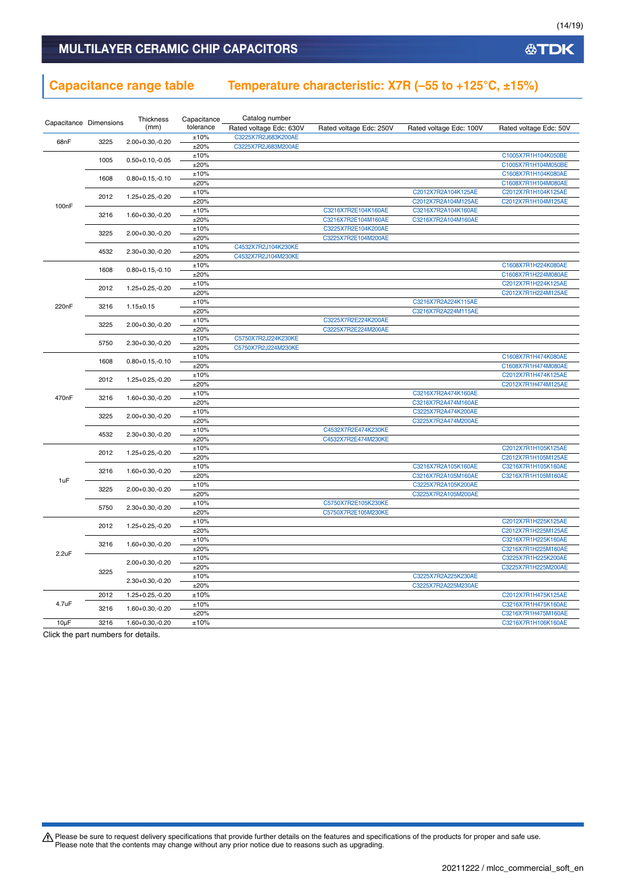### **Capacitance range table Temperature characteristic: X7R (–55 to +125°C, ±15%)**

|                    |                        | Thickness            | Capacitance  | Catalog number          |                                            |                         |                                            |
|--------------------|------------------------|----------------------|--------------|-------------------------|--------------------------------------------|-------------------------|--------------------------------------------|
|                    | Capacitance Dimensions | (mm)                 | tolerance    | Rated voltage Edc: 630V | Rated voltage Edc: 250V                    | Rated voltage Edc: 100V | Rated voltage Edc: 50V                     |
|                    |                        |                      | ±10%         | C3225X7R2J683K200AE     |                                            |                         |                                            |
| 68nF               | 3225                   | 2.00+0.30,-0.20      | ±20%         | C3225X7R2J683M200AE     |                                            |                         |                                            |
|                    |                        |                      | ±10%         |                         |                                            |                         | C1005X7R1H104K050BE                        |
|                    | 1005                   | $0.50 + 0.10, -0.05$ | ±20%         |                         |                                            |                         | C1005X7R1H104M050BE                        |
|                    |                        |                      | $\pm 10\%$   |                         |                                            |                         | C1608X7R1H104K080AE                        |
|                    | 1608                   | $0.80 + 0.15, -0.10$ | ±20%         |                         |                                            |                         | C1608X7R1H104M080AE                        |
|                    |                        |                      | ±10%         |                         |                                            | C2012X7R2A104K125AE     | C2012X7R1H104K125AE                        |
| 100 <sub>n</sub> F | 2012                   | 1.25+0.25,-0.20      | ±20%         |                         |                                            | C2012X7R2A104M125AE     | C2012X7R1H104M125AE                        |
|                    | 3216                   | 1.60+0.30,-0.20      | ±10%         |                         | C3216X7R2E104K160AE                        | C3216X7R2A104K160AE     |                                            |
|                    |                        |                      | ±20%         |                         | C3216X7R2E104M160AE                        | C3216X7R2A104M160AE     |                                            |
|                    | 3225                   | 2.00+0.30,-0.20      | ±10%         |                         | C3225X7R2E104K200AE                        |                         |                                            |
|                    |                        |                      | ±20%         |                         | C3225X7R2E104M200AE                        |                         |                                            |
|                    | 4532                   | $2.30+0.30,-0.20$    | ±10%         | C4532X7R2J104K230KE     |                                            |                         |                                            |
|                    |                        |                      | ±20%         | C4532X7R2J104M230KE     |                                            |                         |                                            |
|                    | 1608                   | $0.80 + 0.15, -0.10$ | ±10%         |                         |                                            |                         | C1608X7R1H224K080AE                        |
|                    |                        |                      | ±20%         |                         |                                            |                         | C1608X7R1H224M080AE                        |
|                    | 2012                   | $1.25 + 0.25 - 0.20$ | ±10%         |                         |                                            |                         | C2012X7R1H224K125AE                        |
|                    |                        |                      | ±20%         |                         |                                            |                         | C2012X7R1H224M125AE                        |
| 220nF              | 3216                   | $1.15 \pm 0.15$      | ±10%         |                         |                                            | C3216X7R2A224K115AE     |                                            |
|                    |                        |                      | ±20%         |                         |                                            | C3216X7R2A224M115AE     |                                            |
|                    | 3225                   | $2.00+0.30,-0.20$    | ±10%         |                         | C3225X7R2E224K200AE                        |                         |                                            |
|                    |                        |                      | ±20%         |                         | C3225X7R2E224M200AE                        |                         |                                            |
|                    | 5750                   | $2.30+0.30,-0.20$    | ±10%         | C5750X7R2J224K230KE     |                                            |                         |                                            |
|                    |                        |                      | ±20%         | C5750X7R2J224M230KE     |                                            |                         |                                            |
|                    | 1608                   | $0.80 + 0.15, -0.10$ | $\pm 10\%$   |                         |                                            |                         | C1608X7R1H474K080AE                        |
|                    |                        |                      | ±20%         |                         |                                            |                         | C1608X7R1H474M080AE                        |
|                    | 2012                   | $1.25 + 0.25 - 0.20$ | ±10%         |                         |                                            |                         | C2012X7R1H474K125AE                        |
|                    |                        |                      | ±20%         |                         |                                            |                         | C2012X7R1H474M125AE                        |
| 470nF              | 3216                   | 1.60+0.30,-0.20      | ±10%         |                         |                                            | C3216X7R2A474K160AE     |                                            |
|                    |                        |                      | ±20%         |                         |                                            | C3216X7R2A474M160AE     |                                            |
|                    | 3225                   | $2.00+0.30,-0.20$    | ±10%         |                         |                                            | C3225X7R2A474K200AE     |                                            |
|                    |                        |                      | ±20%         |                         |                                            | C3225X7R2A474M200AE     |                                            |
|                    | 4532                   | $2.30+0.30,-0.20$    | ±10%         |                         | C4532X7R2E474K230KE<br>C4532X7R2E474M230KE |                         |                                            |
|                    |                        |                      | ±20%         |                         |                                            |                         |                                            |
|                    | 2012                   | 1.25+0.25,-0.20      | ±10%         |                         |                                            |                         | C2012X7R1H105K125AE                        |
|                    |                        |                      | ±20%<br>±10% |                         |                                            | C3216X7R2A105K160AE     | C2012X7R1H105M125AE<br>C3216X7R1H105K160AE |
|                    | 3216                   | 1.60+0.30,-0.20      | ±20%         |                         |                                            | C3216X7R2A105M160AE     | C3216X7R1H105M160AE                        |
| 1uF                |                        |                      | ±10%         |                         |                                            | C3225X7R2A105K200AE     |                                            |
|                    | 3225                   | 2.00+0.30,-0.20      | ±20%         |                         |                                            | C3225X7R2A105M200AE     |                                            |
|                    |                        |                      | ±10%         |                         | C5750X7R2E105K230KE                        |                         |                                            |
|                    | 5750                   | $2.30 + 0.30, -0.20$ | ±20%         |                         | C5750X7R2E105M230KE                        |                         |                                            |
|                    |                        |                      | ±10%         |                         |                                            |                         | C2012X7R1H225K125AE                        |
|                    | 2012                   | $1.25 + 0.25 - 0.20$ | ±20%         |                         |                                            |                         | C2012X7R1H225M125AE                        |
|                    |                        |                      | ±10%         |                         |                                            |                         | C3216X7R1H225K160AE                        |
|                    | 3216                   | 1.60+0.30,-0.20      | ±20%         |                         |                                            |                         | C3216X7R1H225M160AE                        |
| 2.2uF              |                        |                      | ±10%         |                         |                                            |                         | C3225X7R1H225K200AE                        |
|                    |                        | 2.00+0.30,-0.20      | ±20%         |                         |                                            |                         | C3225X7R1H225M200AE                        |
|                    | 3225                   |                      | ±10%         |                         |                                            | C3225X7R2A225K230AE     |                                            |
|                    |                        | $2.30+0.30,-0.20$    | ±20%         |                         |                                            | C3225X7R2A225M230AE     |                                            |
|                    | 2012                   | 1.25+0.25,-0.20      | ±10%         |                         |                                            |                         | C2012X7R1H475K125AE                        |
| 4.7uF              |                        |                      | ±10%         |                         |                                            |                         | C3216X7R1H475K160AE                        |
|                    | 3216                   | 1.60+0.30,-0.20      | ±20%         |                         |                                            |                         | C3216X7R1H475M160AE                        |
| $10\mu F$          | 3216                   | 1.60+0.30,-0.20      | ±10%         |                         |                                            |                         | C3216X7R1H106K160AE                        |
|                    |                        |                      |              |                         |                                            |                         |                                            |

Click the part numbers for details.

Please be sure to request delivery specifications that provide further details on the features and specifications of the products for proper and safe use.<br>Please note that the contents may change without any prior notice d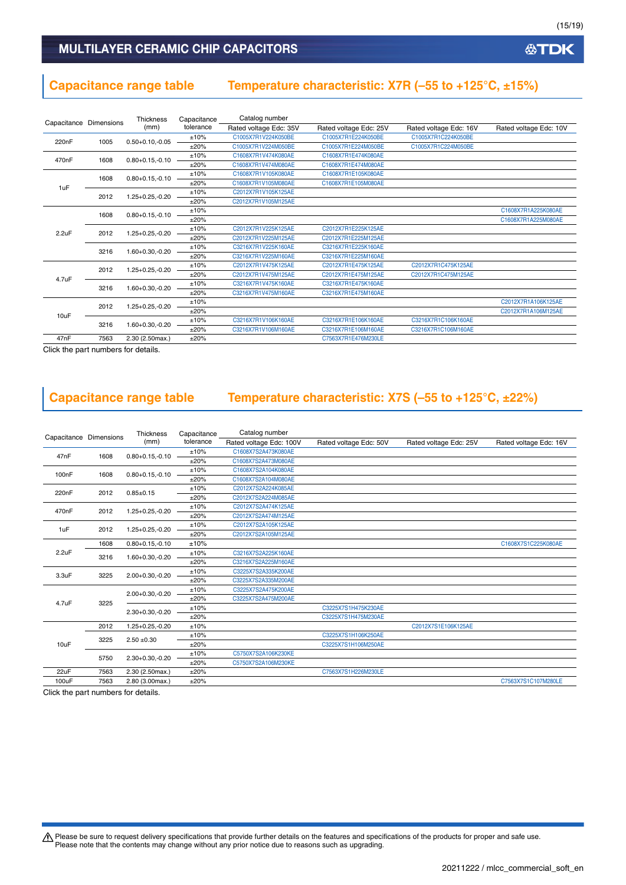### **Capacitance range table Temperature characteristic: X7R (–55 to +125°C, ±15%)**

| Capacitance Dimensions |      | <b>Thickness</b>     | Capacitance | Catalog number         |                        |                        |                        |  |                 |                 |                     |                     |                     |  |  |
|------------------------|------|----------------------|-------------|------------------------|------------------------|------------------------|------------------------|--|-----------------|-----------------|---------------------|---------------------|---------------------|--|--|
|                        |      | (mm)                 | tolerance   | Rated voltage Edc: 35V | Rated voltage Edc: 25V | Rated voltage Edc: 16V | Rated voltage Edc: 10V |  |                 |                 |                     |                     |                     |  |  |
|                        |      |                      | ±10%        | C1005X7R1V224K050BE    | C1005X7R1E224K050BE    | C1005X7R1C224K050BE    |                        |  |                 |                 |                     |                     |                     |  |  |
| 220nF                  | 1005 | $0.50 + 0.10, -0.05$ | ±20%        | C1005X7R1V224M050BE    | C1005X7R1E224M050BE    | C1005X7R1C224M050BE    |                        |  |                 |                 |                     |                     |                     |  |  |
|                        |      |                      | ±10%        | C1608X7R1V474K080AE    | C1608X7R1E474K080AE    |                        |                        |  |                 |                 |                     |                     |                     |  |  |
| 470 <sub>n</sub> F     | 1608 | $0.80 + 0.15, -0.10$ | ±20%        | C1608X7R1V474M080AE    | C1608X7R1E474M080AE    |                        |                        |  |                 |                 |                     |                     |                     |  |  |
|                        | 1608 | $0.80 + 0.15, -0.10$ | ±10%        | C1608X7R1V105K080AE    | C1608X7R1E105K080AE    |                        |                        |  |                 |                 |                     |                     |                     |  |  |
| 1uF                    |      |                      | ±20%        | C1608X7R1V105M080AE    | C1608X7R1E105M080AE    |                        |                        |  |                 |                 |                     |                     |                     |  |  |
|                        |      |                      | ±10%        | C2012X7R1V105K125AE    |                        |                        |                        |  |                 |                 |                     |                     |                     |  |  |
| 2012                   |      | $1.25 + 0.25 - 0.20$ | ±20%        | C2012X7R1V105M125AE    |                        |                        |                        |  |                 |                 |                     |                     |                     |  |  |
|                        | 1608 | $0.80 + 0.15, -0.10$ | ±10%        |                        |                        |                        | C1608X7R1A225K080AE    |  |                 |                 |                     |                     |                     |  |  |
|                        |      |                      | ±20%        |                        |                        |                        | C1608X7R1A225M080AE    |  |                 |                 |                     |                     |                     |  |  |
| 2.2uF                  | 2012 | 1.25+0.25,-0.20      | ±10%        | C2012X7R1V225K125AE    | C2012X7R1E225K125AE    |                        |                        |  |                 |                 |                     |                     |                     |  |  |
|                        |      |                      | ±20%        | C2012X7R1V225M125AE    | C2012X7R1E225M125AE    |                        |                        |  |                 |                 |                     |                     |                     |  |  |
|                        | 3216 |                      | ±10%        | C3216X7R1V225K160AE    | C3216X7R1E225K160AE    |                        |                        |  |                 |                 |                     |                     |                     |  |  |
|                        |      | 1.60+0.30,-0.20      | ±20%        | C3216X7R1V225M160AE    | C3216X7R1E225M160AE    |                        |                        |  |                 |                 |                     |                     |                     |  |  |
|                        |      |                      |             |                        |                        | 2012                   |                        |  | 1.25+0.25,-0.20 | ±10%            | C2012X7R1V475K125AE | C2012X7R1E475K125AE | C2012X7R1C475K125AE |  |  |
| 4.7uF                  |      |                      | ±20%        | C2012X7R1V475M125AE    | C2012X7R1E475M125AE    | C2012X7R1C475M125AE    |                        |  |                 |                 |                     |                     |                     |  |  |
|                        |      |                      |             |                        |                        | 3216                   |                        |  |                 | 1.60+0.30,-0.20 | ±10%                | C3216X7R1V475K160AE | C3216X7R1E475K160AE |  |  |
|                        |      |                      | $+20%$      | C3216X7R1V475M160AE    | C3216X7R1E475M160AE    |                        |                        |  |                 |                 |                     |                     |                     |  |  |
|                        | 2012 | 1.25+0.25,-0.20      | ±10%        |                        |                        |                        | C2012X7R1A106K125AE    |  |                 |                 |                     |                     |                     |  |  |
|                        |      |                      | ±20%        |                        |                        |                        | C2012X7R1A106M125AE    |  |                 |                 |                     |                     |                     |  |  |
| 10uF                   | 3216 | $1.60 + 0.30 - 0.20$ | ±10%        | C3216X7R1V106K160AE    | C3216X7R1E106K160AE    | C3216X7R1C106K160AE    |                        |  |                 |                 |                     |                     |                     |  |  |
|                        |      |                      | ±20%        | C3216X7R1V106M160AE    | C3216X7R1E106M160AE    | C3216X7R1C106M160AE    |                        |  |                 |                 |                     |                     |                     |  |  |
| 47nF                   | 7563 | 2.30 (2.50max.)      | ±20%        |                        | C7563X7R1E476M230LE    |                        |                        |  |                 |                 |                     |                     |                     |  |  |

Click the part numbers for details.

### **Capacitance range table Temperature characteristic: X7S (–55 to +125°C, ±22%)**

|                        |      | Thickness            | Capacitance | Catalog number          |                        |                        |                        |      |                     |  |  |  |
|------------------------|------|----------------------|-------------|-------------------------|------------------------|------------------------|------------------------|------|---------------------|--|--|--|
| Capacitance Dimensions |      | (mm)                 | tolerance   | Rated voltage Edc: 100V | Rated voltage Edc: 50V | Rated voltage Edc: 25V | Rated voltage Edc: 16V |      |                     |  |  |  |
|                        |      |                      | ±10%        | C1608X7S2A473K080AE     |                        |                        |                        |      |                     |  |  |  |
| 47nF                   | 1608 | $0.80 + 0.15, -0.10$ | ±20%        | C1608X7S2A473M080AE     |                        |                        |                        |      |                     |  |  |  |
|                        |      |                      | ±10%        | C1608X7S2A104K080AE     |                        |                        |                        |      |                     |  |  |  |
| 100 <sub>n</sub> F     | 1608 | $0.80 + 0.15, -0.10$ | ±20%        | C1608X7S2A104M080AE     |                        |                        |                        |      |                     |  |  |  |
| 220 <sub>n</sub> F     | 2012 | $0.85 + 0.15$        | ±10%        | C2012X7S2A224K085AE     |                        |                        |                        |      |                     |  |  |  |
|                        |      |                      | ±20%        | C2012X7S2A224M085AE     |                        |                        |                        |      |                     |  |  |  |
|                        |      | 1.25+0.25,-0.20      | ±10%        | C2012X7S2A474K125AE     |                        |                        |                        |      |                     |  |  |  |
| 470nF                  | 2012 |                      | ±20%        | C2012X7S2A474M125AE     |                        |                        |                        |      |                     |  |  |  |
| 1uF                    | 2012 | $1.25 + 0.25 - 0.20$ | ±10%        | C2012X7S2A105K125AE     |                        |                        |                        |      |                     |  |  |  |
|                        |      |                      | ±20%        | C2012X7S2A105M125AE     |                        |                        |                        |      |                     |  |  |  |
|                        | 1608 | $0.80 + 0.15, -0.10$ | ±10%        |                         |                        |                        | C1608X7S1C225K080AE    |      |                     |  |  |  |
| 2.2uF                  |      | 1.60+0.30,-0.20      | ±10%        | C3216X7S2A225K160AE     |                        |                        |                        |      |                     |  |  |  |
|                        | 3216 |                      | ±20%        | C3216X7S2A225M160AE     |                        |                        |                        |      |                     |  |  |  |
| 3.3 <sub>u</sub> F     |      |                      |             | 3225                    |                        |                        | $2.00 + 0.30, -0.20$   | ±10% | C3225X7S2A335K200AE |  |  |  |
|                        |      |                      | ±20%        | C3225X7S2A335M200AE     |                        |                        |                        |      |                     |  |  |  |
|                        |      | 2.00+0.30,-0.20      | ±10%        | C3225X7S2A475K200AE     |                        |                        |                        |      |                     |  |  |  |
| 4.7uF                  | 3225 |                      | ±20%        | C3225X7S2A475M200AE     |                        |                        |                        |      |                     |  |  |  |
|                        |      | $2.30+0.30,-0.20$    | ±10%        |                         | C3225X7S1H475K230AE    |                        |                        |      |                     |  |  |  |
|                        |      |                      | ±20%        |                         | C3225X7S1H475M230AE    |                        |                        |      |                     |  |  |  |
|                        | 2012 | $1.25 + 0.25 - 0.20$ | ±10%        |                         |                        | C2012X7S1E106K125AE    |                        |      |                     |  |  |  |
|                        | 3225 | $2.50 + 0.30$        | ±10%        |                         | C3225X7S1H106K250AE    |                        |                        |      |                     |  |  |  |
| 10uF                   |      |                      | ±20%        |                         | C3225X7S1H106M250AE    |                        |                        |      |                     |  |  |  |
|                        |      | 2.30+0.30,-0.20      | ±10%        | C5750X7S2A106K230KE     |                        |                        |                        |      |                     |  |  |  |
|                        | 5750 |                      | ±20%        | C5750X7S2A106M230KE     |                        |                        |                        |      |                     |  |  |  |
| 22uF                   | 7563 | 2.30 (2.50max.)      | ±20%        |                         | C7563X7S1H226M230LE    |                        |                        |      |                     |  |  |  |
| 100uF                  | 7563 | 2.80 (3.00max.)      | ±20%        |                         |                        |                        | C7563X7S1C107M280LE    |      |                     |  |  |  |

Click the part numbers for details.

Please be sure to request delivery specifications that provide further details on the features and specifications of the products for proper and safe use.<br>Please note that the contents may change without any prior notice d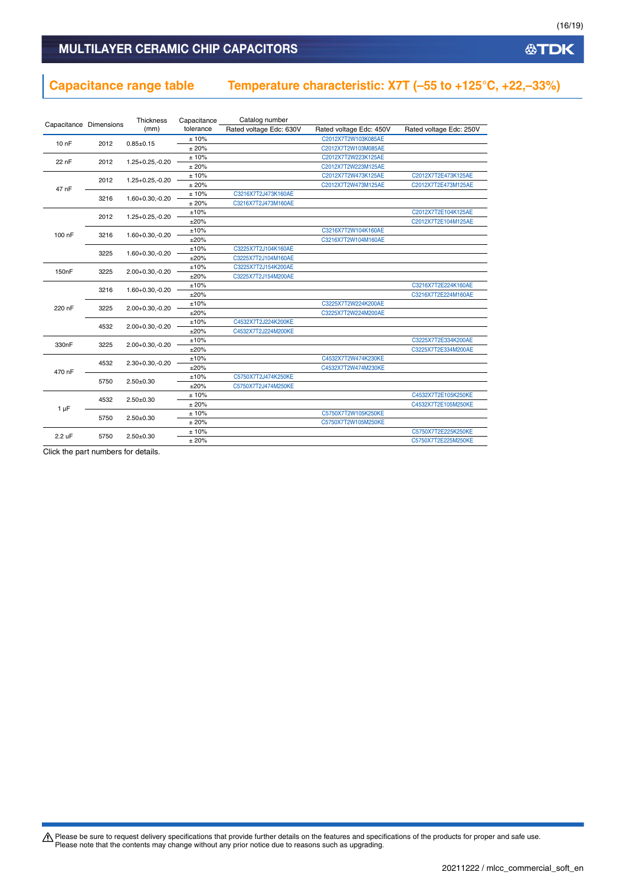### **Capacitance range table Temperature characteristic: X7T (–55 to +125°C, +22,–33%)**

| Capacitance Dimensions |      | Thickness            | Capacitance | Catalog number          |                         |                         |
|------------------------|------|----------------------|-------------|-------------------------|-------------------------|-------------------------|
|                        |      | (mm)                 | tolerance   | Rated voltage Edc: 630V | Rated voltage Edc: 450V | Rated voltage Edc: 250V |
| $100$ F                | 2012 | $0.85 \pm 0.15$      | ± 10%       |                         | C2012X7T2W103K085AE     |                         |
|                        |      |                      | ±20%        |                         | C2012X7T2W103M085AE     |                         |
| 22 nF                  | 2012 | $1.25 + 0.25, -0.20$ | ± 10%       |                         | C2012X7T2W223K125AE     |                         |
|                        |      |                      | ±20%        |                         | C2012X7T2W223M125AE     |                         |
|                        | 2012 | $1.25 + 0.25 - 0.20$ | ±10%        |                         | C2012X7T2W473K125AE     | C2012X7T2E473K125AE     |
| 47 nF                  |      |                      | ±20%        |                         | C2012X7T2W473M125AE     | C2012X7T2E473M125AE     |
|                        | 3216 | 1.60+0.30,-0.20      | ±10%        | C3216X7T2J473K160AE     |                         |                         |
|                        |      |                      | ±20%        | C3216X7T2J473M160AE     |                         |                         |
|                        | 2012 | 1.25+0.25,-0.20      | ±10%        |                         |                         | C2012X7T2E104K125AE     |
|                        |      |                      | ±20%        |                         |                         | C2012X7T2E104M125AE     |
| 100 nF                 | 3216 | $1.60 + 0.30, -0.20$ | ±10%        |                         | C3216X7T2W104K160AE     |                         |
|                        |      |                      | ±20%        |                         | C3216X7T2W104M160AE     |                         |
|                        | 3225 | 1.60+0.30,-0.20      | ±10%        | C3225X7T2J104K160AE     |                         |                         |
|                        |      |                      | ±20%        | C3225X7T2J104M160AE     |                         |                         |
| 150 <sub>n</sub> F     | 3225 | $2.00+0.30,-0.20$    | ±10%        | C3225X7T2J154K200AE     |                         |                         |
|                        |      |                      | ±20%        | C3225X7T2J154M200AE     |                         |                         |
|                        | 3216 | $1.60 + 0.30, -0.20$ | ±10%        |                         |                         | C3216X7T2E224K160AE     |
|                        |      |                      | ±20%        |                         |                         | C3216X7T2E224M160AE     |
| 220 nF                 | 3225 | $2.00+0.30,-0.20$    | ±10%        |                         | C3225X7T2W224K200AE     |                         |
|                        |      |                      | ±20%        |                         | C3225X7T2W224M200AE     |                         |
|                        | 4532 | 2.00+0.30,-0.20      | ±10%        | C4532X7T2J224K200KE     |                         |                         |
|                        |      |                      | ±20%        | C4532X7T2J224M200KE     |                         |                         |
| 330 <sub>n</sub> F     | 3225 | 2.00+0.30,-0.20      | ±10%        |                         |                         | C3225X7T2E334K200AE     |
|                        |      |                      | ±20%        |                         |                         | C3225X7T2E334M200AE     |
|                        | 4532 | $2.30 + 0.30 - 0.20$ | ±10%        |                         | C4532X7T2W474K230KE     |                         |
| 470 nF                 |      |                      | ±20%        |                         | C4532X7T2W474M230KE     |                         |
|                        | 5750 | $2.50 + 0.30$        | ±10%        | C5750X7T2J474K250KE     |                         |                         |
|                        |      |                      | ±20%        | C5750X7T2J474M250KE     |                         |                         |
|                        | 4532 | $2.50+0.30$          | ±10%        |                         |                         | C4532X7T2E105K250KE     |
| $1 \mu F$              |      |                      | ±20%        |                         |                         | C4532X7T2E105M250KE     |
|                        | 5750 | $2.50 + 0.30$        | ± 10%       |                         | C5750X7T2W105K250KE     |                         |
|                        |      |                      | ±20%        |                         | C5750X7T2W105M250KE     |                         |
| 2.2 uF                 | 5750 | $2.50 + 0.30$        | ±10%        |                         |                         | C5750X7T2E225K250KE     |
|                        |      |                      | ±20%        |                         |                         | C5750X7T2E225M250KE     |

Click the part numbers for details.

Please be sure to request delivery specifications that provide further details on the features and specifications of the products for proper and safe use.<br>Please note that the contents may change without any prior notice d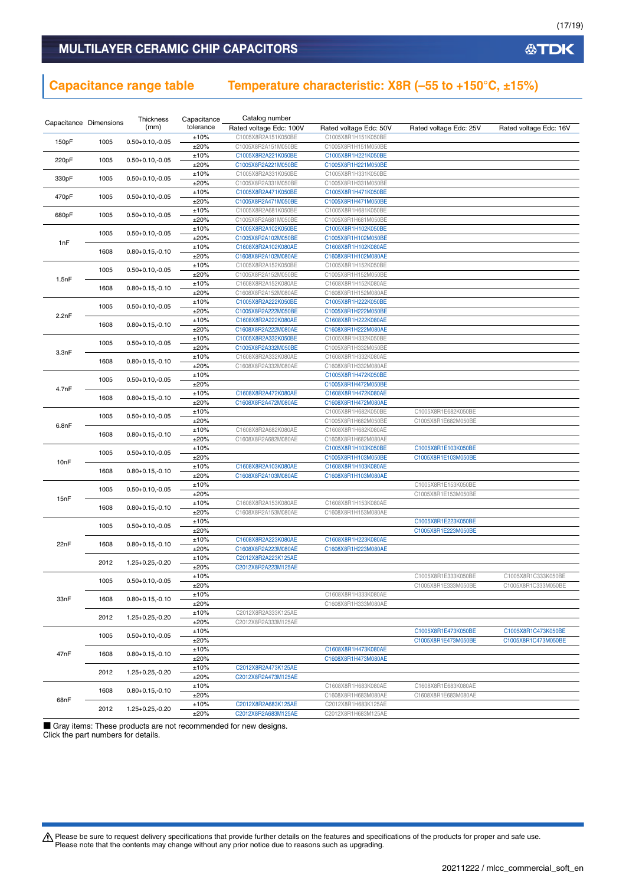### **Capacitance range table Temperature characteristic: X8R (–55 to +150°C, ±15%)**

| Capacitance Dimensions |               | Thickness            | Capacitance  | Catalog number                             |                                            |                                            |                        |
|------------------------|---------------|----------------------|--------------|--------------------------------------------|--------------------------------------------|--------------------------------------------|------------------------|
|                        |               | (mm)                 | tolerance    | Rated voltage Edc: 100V                    | Rated voltage Edc: 50V                     | Rated voltage Edc: 25V                     | Rated voltage Edc: 16V |
| 150pF                  | 1005          | $0.50 + 0.10, -0.05$ | ±10%         | C1005X8R2A151K050BE                        | C1005X8R1H151K050BE                        |                                            |                        |
|                        |               |                      | ±20%         | C1005X8R2A151M050BE                        | C1005X8R1H151M050BE                        |                                            |                        |
| 220pF                  | 1005          | $0.50 + 0.10, -0.05$ | ±10%         | C1005X8R2A221K050BE                        | C1005X8R1H221K050BE                        |                                            |                        |
|                        |               |                      | ±20%         | C1005X8R2A221M050BE                        | C1005X8R1H221M050BE                        |                                            |                        |
| 330pF                  | 1005          | $0.50 + 0.10, -0.05$ | ±10%         | C1005X8R2A331K050BE                        | C1005X8R1H331K050BE                        |                                            |                        |
|                        |               |                      | ±20%         | C1005X8R2A331M050BE                        | C1005X8R1H331M050BE                        |                                            |                        |
| 470pF                  | 1005          | $0.50 + 0.10, -0.05$ | ±10%         | C1005X8R2A471K050BE                        | C1005X8R1H471K050BE                        |                                            |                        |
|                        |               |                      | ±20%         | C1005X8R2A471M050BE                        | C1005X8R1H471M050BE                        |                                            |                        |
| 680pF                  | 1005          | $0.50 + 0.10, -0.05$ | ±10%         | C1005X8R2A681K050BE                        | C1005X8R1H681K050BE                        |                                            |                        |
|                        |               |                      | ±20%         | C1005X8R2A681M050BE                        | C1005X8R1H681M050BE                        |                                            |                        |
|                        | 1005          | $0.50 + 0.10, -0.05$ | ±10%         | C1005X8R2A102K050BE                        | C1005X8R1H102K050BE                        |                                            |                        |
| 1nF                    |               |                      | ±20%         | C1005X8R2A102M050BE                        | C1005X8R1H102M050BE                        |                                            |                        |
|                        | 1608          | $0.80 + 0.15, -0.10$ | ±10%<br>±20% | C1608X8R2A102K080AE<br>C1608X8R2A102M080AE | C1608X8R1H102K080AE<br>C1608X8R1H102M080AE |                                            |                        |
|                        |               |                      | ±10%         | C1005X8R2A152K050BE                        | C1005X8R1H152K050BE                        |                                            |                        |
|                        | 1005          | $0.50 + 0.10, -0.05$ | ±20%         | C1005X8R2A152M050BE                        | C1005X8R1H152M050BE                        |                                            |                        |
| 1.5nF                  |               |                      | ±10%         | C1608X8R2A152K080AE                        | C1608X8R1H152K080AE                        |                                            |                        |
|                        | 1608          | $0.80 + 0.15, -0.10$ | ±20%         | C1608X8R2A152M080AE                        | C1608X8R1H152M080AE                        |                                            |                        |
|                        |               |                      | ±10%         | C1005X8R2A222K050BE                        | C1005X8R1H222K050BE                        |                                            |                        |
|                        | 1005          | $0.50 + 0.10, -0.05$ | ±20%         | C1005X8R2A222M050BE                        | C1005X8R1H222M050BE                        |                                            |                        |
| 2.2nF                  |               |                      | ±10%         | C1608X8R2A222K080AE                        | C1608X8R1H222K080AE                        |                                            |                        |
|                        | 1608          | $0.80 + 0.15, -0.10$ | ±20%         | C1608X8R2A222M080AE                        | C1608X8R1H222M080AE                        |                                            |                        |
|                        |               |                      | ±10%         | C1005X8R2A332K050BE                        | C1005X8R1H332K050BE                        |                                            |                        |
|                        | 1005          | $0.50 + 0.10, -0.05$ | ±20%         | C1005X8R2A332M050BE                        | C1005X8R1H332M050BE                        |                                            |                        |
| 3.3nF                  |               |                      | ±10%         | C1608X8R2A332K080AE                        | C1608X8R1H332K080AE                        |                                            |                        |
|                        | 1608          | $0.80 + 0.15, -0.10$ | ±20%         | C1608X8R2A332M080AE                        | C1608X8R1H332M080AE                        |                                            |                        |
|                        |               |                      | ±10%         |                                            | C1005X8R1H472K050BE                        |                                            |                        |
|                        | 1005          | $0.50 + 0.10, -0.05$ | ±20%         |                                            | C1005X8R1H472M050BE                        |                                            |                        |
|                        | 4.7nF<br>1608 |                      | ±10%         | C1608X8R2A472K080AE                        | C1608X8R1H472K080AE                        |                                            |                        |
|                        |               | $0.80 + 0.15, -0.10$ | ±20%         | C1608X8R2A472M080AE                        | C1608X8R1H472M080AE                        |                                            |                        |
|                        |               |                      | ±10%         |                                            | C1005X8R1H682K050BE                        | C1005X8R1E682K050BE                        |                        |
| 6.8nF                  | 1005          | $0.50 + 0.10, -0.05$ | ±20%         |                                            | C1005X8R1H682M050BE                        | C1005X8R1E682M050BE                        |                        |
|                        | 1608          | $0.80 + 0.15, -0.10$ | ±10%         | C1608X8R2A682K080AE                        | C1608X8R1H682K080AE                        |                                            |                        |
|                        |               |                      | ±20%         | C1608X8R2A682M080AE                        | C1608X8R1H682M080AE                        |                                            |                        |
|                        | 1005          | $0.50 + 0.10, -0.05$ | ±10%         |                                            | C1005X8R1H103K050BE                        | C1005X8R1E103K050BE                        |                        |
| 10 <sub>n</sub> F      |               |                      | ±20%         |                                            | C1005X8R1H103M050BE                        | C1005X8R1E103M050BE                        |                        |
|                        | 1608          | $0.80 + 0.15, -0.10$ | ±10%         | C1608X8R2A103K080AE                        | C1608X8R1H103K080AE                        |                                            |                        |
|                        |               |                      | ±20%         | C1608X8R2A103M080AE                        | C1608X8R1H103M080AE                        |                                            |                        |
|                        | 1005          | $0.50 + 0.10, -0.05$ | ±10%         |                                            |                                            | C1005X8R1E153K050BE                        |                        |
| 15nF                   |               |                      | ±20%         |                                            |                                            | C1005X8R1E153M050BE                        |                        |
|                        | 1608          | $0.80 + 0.15, -0.10$ | ±10%         | C1608X8R2A153K080AE                        | C1608X8R1H153K080AE                        |                                            |                        |
|                        |               |                      | ±20%         | C1608X8R2A153M080AE                        | C1608X8R1H153M080AE                        |                                            |                        |
|                        | 1005          | $0.50 + 0.10, -0.05$ | ±10%         |                                            |                                            | C1005X8R1E223K050BE<br>C1005X8R1E223M050BE |                        |
|                        |               |                      | ±20%         | C1608X8R2A223K080AE                        | C1608X8R1H223K080AE                        |                                            |                        |
| 22nF                   | 1608          | $0.80 + 0.15, -0.10$ | ±10%<br>±20% | C1608X8R2A223M080AE                        | C1608X8R1H223M080AE                        |                                            |                        |
|                        |               |                      | ±10%         | C2012X8R2A223K125AE                        |                                            |                                            |                        |
|                        | 2012          | 1.25+0.25,-0.20      | ±20%         | C2012X8R2A223M125AE                        |                                            |                                            |                        |
|                        |               |                      | ±10%         |                                            |                                            | C1005X8R1E333K050BE                        | C1005X8R1C333K050BE    |
|                        | 1005          | $0.50 + 0.10, -0.05$ | ±20%         |                                            |                                            | C1005X8R1E333M050BE                        | C1005X8R1C333M050BE    |
|                        |               |                      | ±10%         |                                            | C1608X8R1H333K080AE                        |                                            |                        |
| 33nF                   | 1608          | $0.80 + 0.15, -0.10$ | ±20%         |                                            | C1608X8R1H333M080AE                        |                                            |                        |
|                        |               |                      | ±10%         | C2012X8R2A333K125AE                        |                                            |                                            |                        |
|                        | 2012          | 1.25+0.25,-0.20      | ±20%         | C2012X8R2A333M125AE                        |                                            |                                            |                        |
|                        |               |                      | ±10%         |                                            |                                            | C1005X8R1E473K050BE                        | C1005X8R1C473K050BE    |
|                        | 1005          | $0.50 + 0.10, -0.05$ | ±20%         |                                            |                                            | C1005X8R1E473M050BE                        | C1005X8R1C473M050BE    |
|                        |               |                      | ±10%         |                                            | C1608X8R1H473K080AE                        |                                            |                        |
| 47nF                   | 1608          | $0.80 + 0.15, -0.10$ | ±20%         |                                            | C1608X8R1H473M080AE                        |                                            |                        |
|                        |               |                      | ±10%         | C2012X8R2A473K125AE                        |                                            |                                            |                        |
|                        | 2012          | 1.25+0.25,-0.20      | ±20%         | C2012X8R2A473M125AE                        |                                            |                                            |                        |
|                        |               |                      | ±10%         |                                            | C1608X8R1H683K080AE                        | C1608X8R1E683K080AE                        |                        |
|                        | 1608          | $0.80 + 0.15, -0.10$ | ±20%         |                                            | C1608X8R1H683M080AE                        | C1608X8R1E683M080AE                        |                        |
| 68nF                   | 2012          | $1.25 + 0.25 - 0.20$ | ±10%         | C2012X8R2A683K125AE                        | C2012X8R1H683K125AE                        |                                            |                        |
|                        |               |                      | ±20%         | C2012X8R2A683M125AE                        | C2012X8R1H683M125AE                        |                                            |                        |

■ Gray items: These products are not recommended for new designs. Click the part numbers for details.

Please be sure to request delivery specifications that provide further details on the features and specifications of the products for proper and safe use.<br>Please note that the contents may change without any prior notice d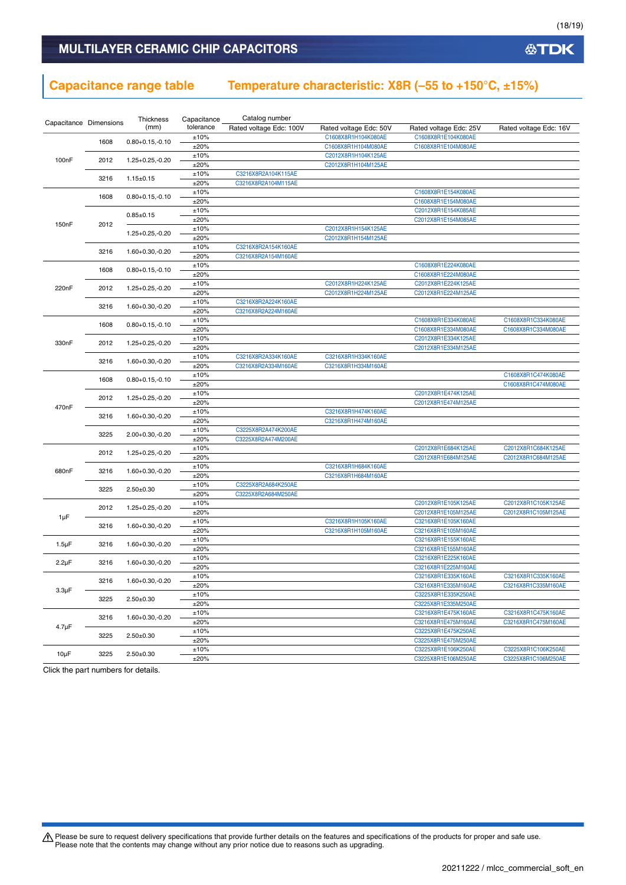### **Capacitance range table Temperature characteristic: X8R (–55 to +150°C, ±15%)**

|                        |      | Thickness            | Capacitance | Catalog number          |                        |                        |                        |
|------------------------|------|----------------------|-------------|-------------------------|------------------------|------------------------|------------------------|
| Capacitance Dimensions |      | (mm)                 | tolerance   | Rated voltage Edc: 100V | Rated voltage Edc: 50V | Rated voltage Edc: 25V | Rated voltage Edc: 16V |
|                        | 1608 | $0.80 + 0.15, -0.10$ | ±10%        |                         | C1608X8R1H104K080AE    | C1608X8R1E104K080AE    |                        |
|                        |      |                      | ±20%        |                         | C1608X8R1H104M080AE    | C1608X8R1E104M080AE    |                        |
| 100nF                  | 2012 | $1.25 + 0.25, -0.20$ | ±10%        |                         | C2012X8R1H104K125AE    |                        |                        |
|                        |      |                      | ±20%        |                         | C2012X8R1H104M125AE    |                        |                        |
|                        | 3216 | $1.15 \pm 0.15$      | ±10%        | C3216X8R2A104K115AE     |                        |                        |                        |
|                        |      |                      | ±20%        | C3216X8R2A104M115AE     |                        |                        |                        |
|                        | 1608 | $0.80 + 0.15, -0.10$ | ±10%        |                         |                        | C1608X8R1E154K080AE    |                        |
|                        |      |                      | ±20%        |                         |                        | C1608X8R1E154M080AE    |                        |
|                        |      | $0.85 \pm 0.15$      | ±10%        |                         |                        | C2012X8R1E154K085AE    |                        |
| 150nF                  | 2012 |                      | ±20%        |                         |                        | C2012X8R1E154M085AE    |                        |
|                        |      | 1.25+0.25,-0.20      | ±10%        |                         | C2012X8R1H154K125AE    |                        |                        |
|                        |      |                      | ±20%        |                         | C2012X8R1H154M125AE    |                        |                        |
|                        | 3216 | $1.60 + 0.30, -0.20$ | ±10%        | C3216X8R2A154K160AE     |                        |                        |                        |
|                        |      |                      | ±20%        | C3216X8R2A154M160AE     |                        |                        |                        |
|                        | 1608 | $0.80 + 0.15, -0.10$ | ±10%        |                         |                        | C1608X8R1E224K080AE    |                        |
|                        |      |                      | ±20%        |                         |                        | C1608X8R1E224M080AE    |                        |
| 220nF                  | 2012 | $1.25 + 0.25, -0.20$ | ±10%        |                         | C2012X8R1H224K125AE    | C2012X8R1E224K125AE    |                        |
|                        |      |                      | ±20%        |                         | C2012X8R1H224M125AE    | C2012X8R1E224M125AE    |                        |
|                        | 3216 | $1.60 + 0.30, -0.20$ | ±10%        | C3216X8R2A224K160AE     |                        |                        |                        |
|                        |      |                      | ±20%        | C3216X8R2A224M160AE     |                        |                        |                        |
|                        | 1608 | $0.80 + 0.15, -0.10$ | ±10%        |                         |                        | C1608X8R1E334K080AE    | C1608X8R1C334K080AE    |
|                        |      |                      | ±20%        |                         |                        | C1608X8R1E334M080AE    | C1608X8R1C334M080AE    |
| 330nF                  | 2012 | $1.25 + 0.25, -0.20$ | ±10%        |                         |                        | C2012X8R1E334K125AE    |                        |
|                        |      |                      | ±20%        |                         |                        | C2012X8R1E334M125AE    |                        |
|                        | 3216 | 1.60+0.30,-0.20      | ±10%        | C3216X8R2A334K160AE     | C3216X8R1H334K160AE    |                        |                        |
|                        |      |                      | ±20%        | C3216X8R2A334M160AE     | C3216X8R1H334M160AE    |                        |                        |
|                        | 1608 | $0.80 + 0.15, -0.10$ | ±10%        |                         |                        |                        | C1608X8R1C474K080AE    |
|                        |      |                      | ±20%        |                         |                        |                        | C1608X8R1C474M080AE    |
|                        | 2012 | $1.25 + 0.25, -0.20$ | ±10%        |                         |                        | C2012X8R1E474K125AE    |                        |
| 470nF                  |      |                      | ±20%        |                         |                        | C2012X8R1E474M125AE    |                        |
|                        | 3216 | 1.60+0.30,-0.20      | ±10%        |                         | C3216X8R1H474K160AE    |                        |                        |
|                        |      |                      | ±20%        |                         | C3216X8R1H474M160AE    |                        |                        |
|                        | 3225 | 2.00+0.30,-0.20      | ±10%        | C3225X8R2A474K200AE     |                        |                        |                        |
|                        |      |                      | ±20%        | C3225X8R2A474M200AE     |                        |                        |                        |
|                        | 2012 | $1.25 + 0.25, -0.20$ | ±10%        |                         |                        | C2012X8R1E684K125AE    | C2012X8R1C684K125AE    |
|                        |      |                      | ±20%        |                         |                        | C2012X8R1E684M125AE    | C2012X8R1C684M125AE    |
| 680nF                  | 3216 | 1.60+0.30,-0.20      | ±10%        |                         | C3216X8R1H684K160AE    |                        |                        |
|                        |      |                      | ±20%        |                         | C3216X8R1H684M160AE    |                        |                        |
|                        | 3225 | $2.50 \pm 0.30$      | ±10%        | C3225X8R2A684K250AE     |                        |                        |                        |
|                        |      |                      | ±20%        | C3225X8R2A684M250AE     |                        |                        |                        |
|                        | 2012 | $1.25 + 0.25, -0.20$ | ±10%        |                         |                        | C2012X8R1E105K125AE    | C2012X8R1C105K125AE    |
| 1µF                    |      |                      | ±20%        |                         |                        | C2012X8R1E105M125AE    | C2012X8R1C105M125AE    |
|                        | 3216 | $1.60 + 0.30, -0.20$ | ±10%        |                         | C3216X8R1H105K160AE    | C3216X8R1E105K160AE    |                        |
|                        |      |                      | ±20%        |                         | C3216X8R1H105M160AE    | C3216X8R1E105M160AE    |                        |
| $1.5 \mu F$            | 3216 | 1.60+0.30,-0.20      | ±10%        |                         |                        | C3216X8R1E155K160AE    |                        |
|                        |      |                      | ±20%        |                         |                        | C3216X8R1E155M160AE    |                        |
| $2.2\mu F$             | 3216 | 1.60+0.30,-0.20      | ±10%        |                         |                        | C3216X8R1E225K160AE    |                        |
|                        |      |                      | ±20%        |                         |                        | C3216X8R1E225M160AE    |                        |
|                        | 3216 | 1.60+0.30,-0.20      | ±10%        |                         |                        | C3216X8R1E335K160AE    | C3216X8R1C335K160AE    |
| $3.3 \mu F$            |      |                      | ±20%        |                         |                        | C3216X8R1E335M160AE    | C3216X8R1C335M160AE    |
|                        | 3225 | $2.50 \pm 0.30$      | ±10%        |                         |                        | C3225X8R1E335K250AE    |                        |
|                        |      |                      | ±20%        |                         |                        | C3225X8R1E335M250AE    |                        |
|                        | 3216 | $1.60 + 0.30, -0.20$ | ±10%        |                         |                        | C3216X8R1E475K160AE    | C3216X8R1C475K160AE    |
| $4.7 \mu F$            |      |                      | ±20%        |                         |                        | C3216X8R1E475M160AE    | C3216X8R1C475M160AE    |
|                        | 3225 | $2.50 + 0.30$        | ±10%        |                         |                        | C3225X8R1E475K250AE    |                        |
|                        |      |                      | ±20%        |                         |                        | C3225X8R1E475M250AE    |                        |
|                        | 3225 | $2.50 \pm 0.30$      | ±10%        |                         |                        | C3225X8R1E106K250AE    | C3225X8R1C106K250AE    |
| $10\mu F$              |      |                      | ±20%        |                         |                        | C3225X8R1E106M250AE    | C3225X8R1C106M250AE    |

Click the part numbers for details.

Please be sure to request delivery specifications that provide further details on the features and specifications of the products for proper and safe use.<br>Please note that the contents may change without any prior notice d